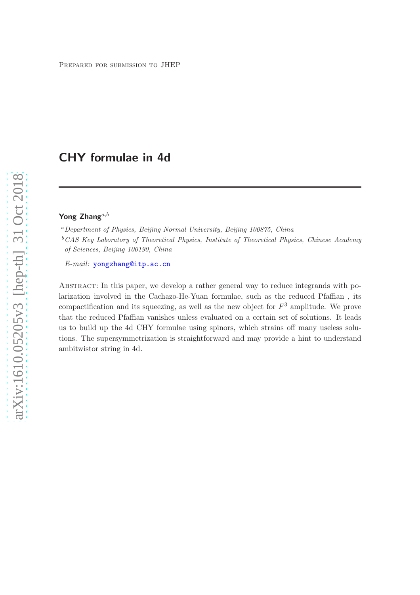# CHY formulae in 4d

## Yong Zhang $^{a,b}$

<sup>a</sup>*Department of Physics, Beijing Normal University, Beijing 100875, China*

<sup>b</sup>*CAS Key Laboratory of Theoretical Physics, Institute of Theoretical Physics, Chinese Academy of Sciences, Beijing 100190, China*

*E-mail:* [yongzhang@itp.ac.cn](mailto:yongzhang@itp.ac.cn)

Abstract: In this paper, we develop a rather general way to reduce integrands with polarization involved in the Cachazo-He-Yuan formulae, such as the reduced Pfaffian , its compactification and its squeezing, as well as the new object for  $F<sup>3</sup>$  amplitude. We prove that the reduced Pfaffian vanishes unless evaluated on a certain set of solutions. It leads us to build up the 4d CHY formulae using spinors, which strains off many useless solutions. The supersymmetrization is straightforward and may provide a hint to understand ambitwistor string in 4d.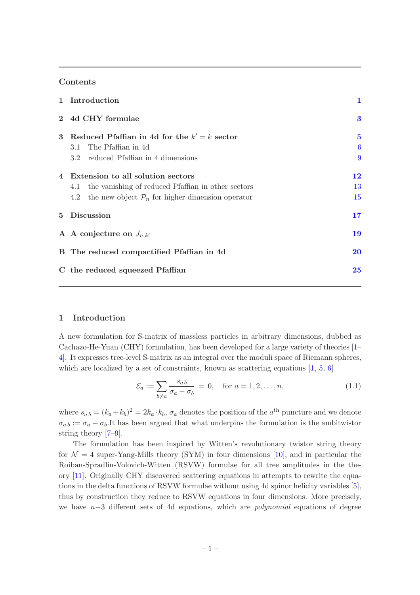#### Contents

|             | 1 Introduction                                                                                                                                                     | 1                  |
|-------------|--------------------------------------------------------------------------------------------------------------------------------------------------------------------|--------------------|
| $2^{\circ}$ | 4d CHY formulae                                                                                                                                                    | 3                  |
| 3           | Reduced Pfaffian in 4d for the $k' = k$ sector<br>3.1 The Pfaffian in 4d<br>3.2 reduced Pfaffian in 4 dimensions                                                   | $\bf{5}$<br>6<br>9 |
| 4           | Extension to all solution sectors<br>4.1 the vanishing of reduced Pfaffian in other sectors<br>the new object $\mathcal{P}_n$ for higher dimension operator<br>4.2 | 12<br>13<br>15     |
| $5^{\circ}$ | <b>Discussion</b>                                                                                                                                                  | 17                 |
|             | A A conjecture on $J_{n,k'}$                                                                                                                                       | 19                 |
|             | B The reduced compactified Pfaffian in 4d                                                                                                                          | 20                 |
|             | C the reduced squeezed Pfaffian                                                                                                                                    | $25\,$             |

#### <span id="page-1-0"></span>1 Introduction

A new formulation for S-matrix of massless particles in arbitrary dimensions, dubbed as Cachazo-He-Yuan (CHY) formulation, has been developed for a large variety of theories [\[1](#page-25-1)– [4\]](#page-26-0). It expresses tree-level S-matrix as an integral over the moduli space of Riemann spheres, which are localized by a set of constraints, known as scattering equations  $[1, 5, 6]$  $[1, 5, 6]$  $[1, 5, 6]$  $[1, 5, 6]$  $[1, 5, 6]$ 

<span id="page-1-1"></span>
$$
\mathcal{E}_a := \sum_{b \neq a} \frac{s_{ab}}{\sigma_a - \sigma_b} = 0, \quad \text{for } a = 1, 2, \dots, n,
$$
\n(1.1)

where  $s_{a b} = (k_a + k_b)^2 = 2k_a \cdot k_b$ ,  $\sigma_a$  denotes the position of the  $a^{\text{th}}$  puncture and we denote  $\sigma_{ab} := \sigma_a - \sigma_b$ . It has been argued that what underpins the formulation is the ambitwistor string theory [\[7](#page-26-3)[–9](#page-26-4)].

The formulation has been inspired by Witten's revolutionary twistor string theory for  $\mathcal{N} = 4$  super-Yang-Mills theory (SYM) in four dimensions [\[10](#page-26-5)], and in particular the Roiban-Spradlin-Volovich-Witten (RSVW) formulae for all tree amplitudes in the theory [\[11](#page-26-6)]. Originally CHY discovered scattering equations in attempts to rewrite the equations in the delta functions of RSVW formulae without using 4d spinor helicity variables [\[5\]](#page-26-1), thus by construction they reduce to RSVW equations in four dimensions. More precisely, we have n−3 different sets of 4d equations, which are *polynomial* equations of degree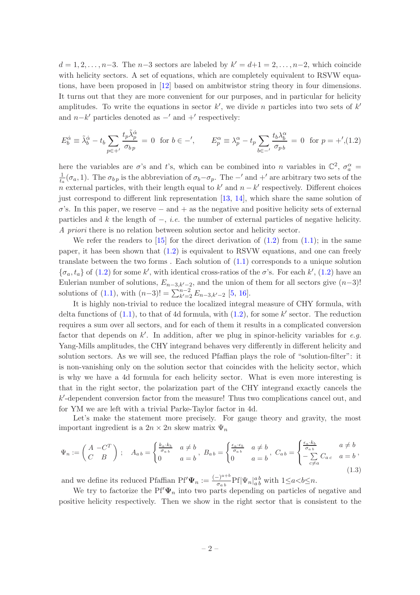$d = 1, 2, \ldots, n-3$ . The  $n-3$  sectors are labeled by  $k' = d+1 = 2, \ldots, n-2$ , which coincide with helicity sectors. A set of equations, which are completely equivalent to RSVW equations, have been proposed in [\[12\]](#page-26-7) based on ambitwistor string theory in four dimensions. It turns out that they are more convenient for our purposes, and in particular for helicity amplitudes. To write the equations in sector  $k'$ , we divide n particles into two sets of  $k'$ and  $n-k'$  particles denoted as  $-'$  and  $+'$  respectively:

<span id="page-2-0"></span>
$$
E_b^{\dot{\alpha}} \equiv \tilde{\lambda}_b^{\dot{\alpha}} - t_b \sum_{p \in +'} \frac{t_p \tilde{\lambda}_p^{\dot{\alpha}}}{\sigma_{bp}} = 0 \text{ for } b \in -', \qquad E_p^{\alpha} \equiv \lambda_p^{\alpha} - t_p \sum_{b \in -'} \frac{t_b \lambda_b^{\alpha}}{\sigma_{pb}} = 0 \text{ for } p = +',(1.2)
$$

here the variables are  $\sigma$ 's and t's, which can be combined into n variables in  $\mathbb{C}^2$ ,  $\sigma_a^{\alpha}$  = 1  $\frac{1}{t_a}(\sigma_a, 1)$ . The  $\sigma_{bp}$  is the abbreviation of  $\sigma_b-\sigma_p$ . The  $-'$  and  $+'$  are arbitrary two sets of the n external particles, with their length equal to  $k'$  and  $n - k'$  respectively. Different choices just correspond to different link representation [\[13,](#page-26-8) [14\]](#page-26-9), which share the same solution of  $\sigma$ 's. In this paper, we reserve – and + as the negative and positive helicity sets of external particles and k the length of −, *i.e.* the number of external particles of negative helicity. *A priori* there is no relation between solution sector and helicity sector.

We refer the readers to  $[15]$  for the direct derivation of  $(1.2)$  from  $(1.1)$ ; in the same paper, it has been shown that [\(1.2\)](#page-2-0) is equivalent to RSVW equations, and one can freely translate between the two forms . Each solution of [\(1.1\)](#page-1-1) corresponds to a unique solution  $\{\sigma_a, t_a\}$  of [\(1.2\)](#page-2-0) for some k', with identical cross-ratios of the  $\sigma$ 's. For each k', (1.2) have an Eulerian number of solutions,  $E_{n-3,k'-2}$ , and the union of them for all sectors give  $(n-3)!$ solutions of [\(1.1\)](#page-1-1), with  $(n-3)! = \sum_{k'=2}^{n-2} E_{n-3,k'-2}$  [\[5,](#page-26-1) [16](#page-26-11)].

It is highly non-trivial to reduce the localized integral measure of CHY formula, with delta functions of  $(1.1)$ , to that of 4d formula, with  $(1.2)$ , for some k' sector. The reduction requires a sum over all sectors, and for each of them it results in a complicated conversion factor that depends on k'. In addition, after we plug in spinor-helicity variables for e.g. Yang-Mills amplitudes, the CHY integrand behaves very differently in different helicity and solution sectors. As we will see, the reduced Pfaffian plays the role of "solution-filter": it is non-vanishing only on the solution sector that coincides with the helicity sector, which is why we have a 4d formula for each helicity sector. What is even more interesting is that in the right sector, the polarization part of the CHY integrand exactly cancels the k ′ -dependent conversion factor from the measure! Thus two complications cancel out, and for YM we are left with a trivial Parke-Taylor factor in 4d.

Let's make the statement more precisely. For gauge theory and gravity, the most important ingredient is a  $2n \times 2n$  skew matrix  $\Psi_n$ 

<span id="page-2-1"></span>
$$
\Psi_n := \begin{pmatrix} A & -C^T \\ C & B \end{pmatrix} \; ; \quad A_{a\,b} = \begin{cases} \frac{k_a \cdot k_b}{\sigma_{a\,b}} & a \neq b \\ 0 & a = b \end{cases}, \; B_{a\,b} = \begin{cases} \frac{\epsilon_a \cdot \epsilon_b}{\sigma_{a\,b}} & a \neq b \\ 0 & a = b \end{cases}, \; C_{a\,b} = \begin{cases} \frac{\epsilon_a \cdot k_b}{\sigma_{a\,b}} & a \neq b \\ -\sum\limits_{c \neq a} C_{a\,c} & a = b \end{cases}, \tag{1.3}
$$

and we define its reduced Pfaffian Pf' $\Psi_n := \frac{(-)^{a+b}}{\sigma_{ab}}$  $\frac{\partial^{a+b}}{\partial a}$ Pf $|\Psi_n|_{a}^{ab}$  with  $1 \leq a < b \leq n$ .

We try to factorize the Pf' $\Psi_n$  into two parts depending on particles of negative and positive helicity respectively. Then we show in the right sector that is consistent to the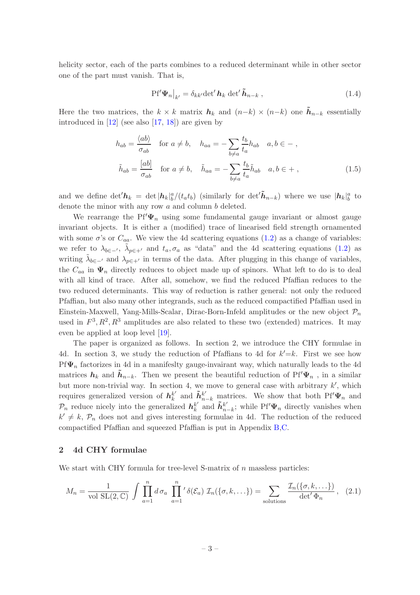helicity sector, each of the parts combines to a reduced determinant while in other sector one of the part must vanish. That is,

<span id="page-3-1"></span>
$$
\left. \mathbf{P} \mathbf{f}' \mathbf{\Psi}_n \right|_{k'} = \delta_{kk'} \det' \mathbf{h}_k \, \det' \tilde{\mathbf{h}}_{n-k} \,, \tag{1.4}
$$

Here the two matrices, the  $k \times k$  matrix  $h_k$  and  $(n-k) \times (n-k)$  one  $h_{n-k}$  essentially introduced in  $[12]$  (see also  $[17, 18]$  $[17, 18]$  $[17, 18]$ ) are given by

<span id="page-3-3"></span>
$$
h_{ab} = \frac{\langle ab \rangle}{\sigma_{ab}} \quad \text{for } a \neq b, \quad h_{aa} = -\sum_{b \neq a} \frac{t_b}{t_a} h_{ab} \quad a, b \in -\,,
$$

$$
\tilde{h}_{ab} = \frac{[ab]}{\sigma_{ab}} \quad \text{for } a \neq b, \quad \tilde{h}_{aa} = -\sum_{b \neq a} \frac{t_b}{t_a} \tilde{h}_{ab} \quad a, b \in +\,,\tag{1.5}
$$

and we define  $\det h_k = \det |h_k|_b^a/(t_a t_b)$  (similarly for  $\det \tilde{h}_{n-k}$ ) where we use  $|h_k|_b^a$  to denote the minor with any row a and column b deleted.

We rearrange the Pf' $\Psi_n$  using some fundamental gauge invariant or almost gauge invariant objects. It is either a (modified) trace of linearised field strength ornamented with some  $\sigma$ 's or  $C_{aa}$ . We view the 4d scattering equations [\(1.2\)](#page-2-0) as a change of variables: we refer to  $\lambda_{b\in -'}$ ,  $\tilde{\lambda}_{p\in +'}$  and  $t_a, \sigma_a$  as "data" and the 4d scattering equations [\(1.2\)](#page-2-0) as writing  $\tilde{\lambda}_{b\in}$  and  $\lambda_{p\in}$  in terms of the data. After plugging in this change of variables, the  $C_{aa}$  in  $\Psi_n$  directly reduces to object made up of spinors. What left to do is to deal with all kind of trace. After all, somehow, we find the reduced Pfaffian reduces to the two reduced determinants. This way of reduction is rather general: not only the reduced Pfaffian, but also many other integrands, such as the reduced compactified Pfaffian used in Einstein-Maxwell, Yang-Mills-Scalar, Dirac-Born-Infeld amplitudes or the new object  $\mathcal{P}_n$ used in  $F^3, R^2, R^3$  amplitudes are also related to these two (extended) matrices. It may even be applied at loop level [\[19](#page-26-14)].

The paper is organized as follows. In section 2, we introduce the CHY formulae in 4d. In section 3, we study the reduction of Pfaffians to 4d for  $k'=k$ . First we see how Pf $\Psi_n$  factorizes in 4d in a manifeslty gauge-invairant way, which naturally leads to the 4d matrices  $h_k$  and  $\tilde{h}_{n-k}$ . Then we present the beautiful reduction of Pf' $\Psi_n$ , in a similar but more non-trivial way. In section 4, we move to general case with arbitrary  $k'$ , which requires generalized version of  $h_k^{k'}$  $\tilde{k}'$  and  $\tilde{h}_{n-k}^{k'}$  matrices. We show that both Pf' $\Psi_n$  and  $\mathcal{P}_n$  reduce nicely into the generalized  $\mathbf{h}_k^{k'}$  $\frac{k'}{k}$  and  $\tilde{\boldsymbol{h}}_n^{k'}$  $_{n-k}^{k'}$ ; while Pf' $\Psi_n$  directly vanishes when  $k' \neq k$ ,  $\mathcal{P}_n$  does not and gives interesting formulae in 4d. The reduction of the reduced compactified Pfaffian and squeezed Pfaffian is put in Appendix [B,](#page-20-0)[C.](#page-25-0)

#### <span id="page-3-0"></span>2 4d CHY formulae

We start with CHY formula for tree-level S-matrix of  $n$  massless particles:

<span id="page-3-2"></span>
$$
M_n = \frac{1}{\text{vol }\text{SL}(2,\mathbb{C})} \int \prod_{a=1}^n d\sigma_a \prod_{a=1}^n' \delta(\mathcal{E}_a) \ \mathcal{I}_n(\{\sigma, k, \ldots\}) = \sum_{\text{solutions}} \frac{\mathcal{I}_n(\{\sigma, k, \ldots\})}{\det' \Phi_n}, \tag{2.1}
$$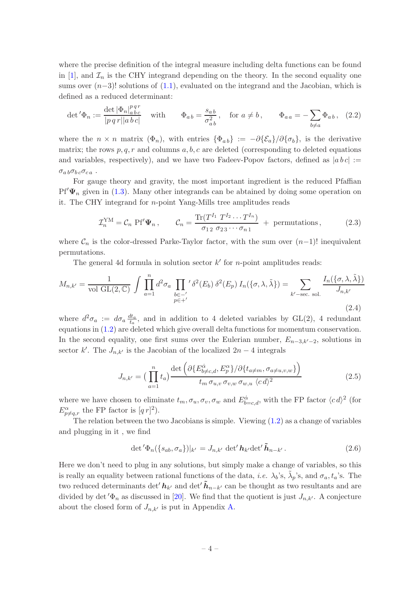where the precise definition of the integral measure including delta functions can be found in [\[1\]](#page-25-1), and  $\mathcal{I}_n$  is the CHY integrand depending on the theory. In the second equality one sums over  $(n-3)!$  solutions of  $(1.1)$ , evaluated on the integrand and the Jacobian, which is defined as a reduced determinant:

$$
\det' \Phi_n := \frac{\det |\Phi_n|_{a\,bc}^{p\,qr}}{|p\,q\,r||a\,b\,c|} \quad \text{ with } \quad \Phi_{ab} = \frac{s_{ab}}{\sigma_{ab}^2}, \quad \text{for } a \neq b \,, \quad \Phi_{aa} = -\sum_{b \neq a} \Phi_{ab} \,, \tag{2.2}
$$

where the  $n \times n$  matrix  $(\Phi_n)$ , with entries  $\{\Phi_{ab}\} := -\partial{\{\mathcal{E}_a\}}/\partial{\{\sigma_b\}}$ , is the derivative matrix; the rows  $p, q, r$  and columns  $a, b, c$  are deleted (corresponding to deleted equations and variables, respectively), and we have two Fadeev-Popov factors, defined as  $|a b c| :=$  $\sigma_{a b} \sigma_{b c} \sigma_{c a}$ .

For gauge theory and gravity, the most important ingredient is the reduced Pfaffian  $Pf'\Psi_n$  given in [\(1.3\)](#page-2-1). Many other integrands can be abtained by doing some operation on it. The CHY integrand for n-point Yang-Mills tree amplitudes reads

$$
\mathcal{I}_n^{\text{YM}} = \mathcal{C}_n \text{ Pf}' \Psi_n, \qquad \mathcal{C}_n = \frac{\text{Tr}(T^{I_1} T^{I_2} \cdots T^{I_n})}{\sigma_{12} \sigma_{23} \cdots \sigma_{n1}} + \text{ permutations}, \qquad (2.3)
$$

where  $\mathcal{C}_n$  is the color-dressed Parke-Taylor factor, with the sum over  $(n-1)!$  inequivalent permutations.

The general 4d formula in solution sector  $k'$  for *n*-point amplitudes reads:

<span id="page-4-1"></span>
$$
M_{n,k'} = \frac{1}{\text{vol GL}(2,\mathbb{C})} \int \prod_{a=1}^{n} d^2 \sigma_a \prod_{\substack{b \in -' \\ p \in +'}}' \delta^2(E_b) \delta^2(E_p) I_n(\{\sigma,\lambda,\tilde{\lambda}\}) = \sum_{k' - \text{sec. sol.}} \frac{I_n(\{\sigma,\lambda,\tilde{\lambda}\})}{J_{n,k'}}
$$
(2.4)

where  $d^2\sigma_a := d\sigma_a \frac{dt_a}{t_a}$  $\frac{t_{a}}{t_{a}}$ , and in addition to 4 deleted variables by GL(2), 4 redundant equations in [\(1.2\)](#page-2-0) are deleted which give overall delta functions for momentum conservation. In the second equality, one first sums over the Eulerian number,  $E_{n-3,k'-2}$ , solutions in sector k'. The  $J_{n,k'}$  is the Jacobian of the localized  $2n-4$  integrals

<span id="page-4-2"></span>
$$
J_{n,k'} = \left(\prod_{a=1}^n t_a\right) \frac{\det\left(\partial \{E_{b \neq c,d}^{\dot{\alpha}}, E_p^{\alpha}\}/\partial \{t_{a \neq m}, \sigma_{a \neq u,v,w}\}\right)}{t_m \sigma_{u,v} \sigma_{v,w} \sigma_{w,u} \langle c \, d \rangle^2}
$$
(2.5)

where we have chosen to eliminate  $t_m, \sigma_u, \sigma_v, \sigma_w$  and  $E^{\dot{\alpha}}_{b=c,d}$ , with the FP factor  $\langle c \, d \rangle^2$  (for  $E^{\alpha}_{p \neq q,r}$  the FP factor is  $[q r]^2$ ).

The relation between the two Jacobians is simple. Viewing  $(1.2)$  as a change of variables and plugging in it , we find

<span id="page-4-0"></span>
$$
\det \langle \Phi_n(\{s_{ab}, \sigma_a\})|_{k'} = J_{n,k'} \det' \mathbf{h}_{k'} \det' \tilde{\mathbf{h}}_{n-k'}.
$$
\n(2.6)

Here we don't need to plug in any solutions, but simply make a change of variables, so this is really an equality between rational functions of the data, *i.e.*  $\lambda_b$ 's,  $\tilde{\lambda}_p$ 's, and  $\sigma_a, t_a$ 's. The two reduced determinants det' $h_{k'}$  and det' $\tilde{h}_{n-k'}$  can be thought as two resultants and are divided by det' $\Phi_n$  as discussed in [\[20\]](#page-26-15). We find that the quotient is just  $J_{n,k'}$ . A conjecture about the closed form of  $J_{n,k'}$  is put in Appendix [A.](#page-19-0)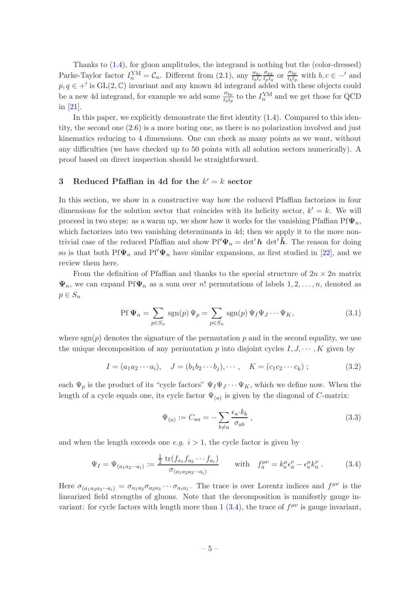Thanks to [\(1.4\)](#page-3-1), for gluon amplitudes, the integrand is nothing but the (color-dressed) Parke-Taylor factor  $I_n^{\text{YM}} = \mathcal{C}_n$ . Different from [\(2.1\)](#page-3-2), any  $\frac{\sigma_{bc}}{t_b t_c}$  $\sigma_{pq}$  $\frac{\sigma_{pq}}{t_pt_q}$  or  $\frac{\sigma_{bp}}{t_b t_p}$  $\frac{\sigma_{bp}}{t_b t_p}$  with  $b, c \in -'$  and  $p, q \in A'$  is  $GL(2, \mathbb{C})$  invariant and any known 4d integrand added with these objects could be a new 4d integrand, for example we add some  $\frac{\sigma_{bp}}{t_b t_p}$  to the  $I_n^{\text{YM}}$  and we get those for QCD in [\[21](#page-26-16)].

In this paper, we explicitly demonstrate the first identity  $(1.4)$ . Compared to this identity, the second one  $(2.6)$  is a more boring one, as there is no polarization involved and just kinematics reducing to 4 dimensions. One can check as many points as we want, without any difficulties (we have checked up to 50 points with all solution sectors numerically). A proof based on direct inspection should be straightforward.

### <span id="page-5-0"></span>3 Reduced Pfaffian in 4d for the  $k' = k$  sector

In this section, we show in a constructive way how the reduced Pfaffian factorizes in four dimensions for the solution sector that coincides with its helicity sector,  $k' = k$ . We will proceed in two steps: as a warm up, we show how it works for the vanishing Pfaffian Pf $\Psi_n$ , which factorizes into two vanishing determinants in 4d; then we apply it to the more nontrivial case of the reduced Pfaffian and show  $Pf'\Psi_n = det'h \det'\tilde{h}$ . The reason for doing so is that both Pf $\Psi_n$  and Pf' $\Psi_n$  have similar expansions, as first studied in [\[22\]](#page-26-17), and we review them here.

From the definition of Pfaffian and thanks to the special structure of  $2n \times 2n$  matrix  $\Psi_n$ , we can expand Pf $\Psi_n$  as a sum over n! permutations of labels  $1, 2, \ldots, n$ , denoted as  $p \in S_n$ 

<span id="page-5-3"></span>
$$
\text{Pf } \Psi_n = \sum_{p \in S_n} \text{sgn}(p) \Psi_p = \sum_{p \in S_n} \text{sgn}(p) \Psi_I \Psi_J \cdots \Psi_K,\tag{3.1}
$$

where  $sgn(p)$  denotes the signature of the permutation p and in the second equality, we use the unique decomposition of any permutation p into disjoint cycles  $I, J, \dots, K$  given by

$$
I = (a_1 a_2 \cdots a_i), \quad J = (b_1 b_2 \cdots b_j), \cdots, \quad K = (c_1 c_2 \cdots c_k); \tag{3.2}
$$

each  $\Psi_p$  is the product of its "cycle factors"  $\Psi_I\Psi_J\cdots\Psi_K$ , which we define now. When the length of a cycle equals one, its cycle factor  $\Psi_{(a)}$  is given by the diagonal of C-matrix:

<span id="page-5-2"></span>
$$
\Psi_{(a)} := C_{aa} = -\sum_{b \neq a} \frac{\epsilon_a \cdot k_b}{\sigma_{ab}}, \qquad (3.3)
$$

and when the length exceeds one  $e.g. i > 1$ , the cycle factor is given by

<span id="page-5-1"></span>
$$
\Psi_{I} = \Psi_{(a_{1}a_{2}\cdots a_{i})} := \frac{\frac{1}{2} \operatorname{tr}(f_{a_{1}}f_{a_{2}}\cdots f_{a_{i}})}{\sigma_{(a_{1}a_{2}a_{3}\cdots a_{i})}} \quad \text{with} \quad f_{a}^{\mu\nu} = k_{a}^{\mu} \epsilon_{a}^{\nu} - \epsilon_{a}^{\mu} k_{a}^{\nu} \,. \tag{3.4}
$$

Here  $\sigma_{(a_1a_2a_3\cdots a_i)} = \sigma_{a_1a_2}\sigma_{a_2a_3}\cdots \sigma_{a_ia_1}$ . The trace is over Lorentz indices and  $f^{\mu\nu}$  is the linearized field strengths of gluons. Note that the decomposition is manifestly gauge invariant: for cycle factors with length more than  $1(3.4)$ , the trace of  $f^{\mu\nu}$  is gauge invariant,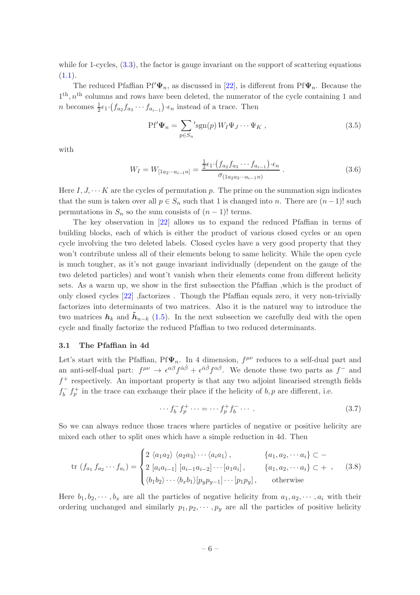while for 1-cycles,  $(3.3)$ , the factor is gauge invariant on the support of scattering equations  $(1.1).$  $(1.1).$ 

The reduced Pfaffian Pf' $\Psi_n$ , as discussed in [\[22\]](#page-26-17), is different from Pf $\Psi_n$ . Because the 1<sup>th</sup>, n<sup>th</sup> columns and rows have been deleted, the numerator of the cycle containing 1 and *n* becomes  $\frac{1}{2} \epsilon_1 \cdot (f_{a_2} f_{a_3} \cdots f_{a_{i-1}}) \cdot \epsilon_n$  instead of a trace. Then

<span id="page-6-1"></span>
$$
Pf'\Psi_n = \sum_{p \in S_n} 'sgn(p) W_I \Psi_J \cdots \Psi_K , \qquad (3.5)
$$

with

<span id="page-6-2"></span>
$$
W_I = W_{[1a_2 \cdots a_{i-1}n]} = \frac{\frac{1}{2} \epsilon_1 \cdot (f_{a_2} f_{a_3} \cdots f_{a_{i-1}}) \cdot \epsilon_n}{\sigma_{(1a_2 a_3 \cdots a_{i-1}n)}}.
$$
\n(3.6)

Here  $I, J, \cdots K$  are the cycles of permutation p. The prime on the summation sign indicates that the sum is taken over all  $p \in S_n$  such that 1 is changed into n. There are  $(n-1)!$  such permutations in  $S_n$  so the sum consists of  $(n-1)!$  terms.

The key observation in [\[22](#page-26-17)] allows us to expand the reduced Pfaffian in terms of building blocks, each of which is either the product of various closed cycles or an open cycle involving the two deleted labels. Closed cycles have a very good property that they won't contribute unless all of their elements belong to same helicity. While the open cycle is much tougher, as it's not gauge invariant individually (dependent on the gauge of the two deleted particles) and wont't vanish when their elements come from different helicity sets. As a warm up, we show in the first subsection the Pfaffian ,which is the product of only closed cycles [\[22](#page-26-17)] ,factorizes . Though the Pfaffian equals zero, it very non-trivially factorizes into determinants of two matrices. Also it is the naturel way to introduce the two matrices  $h_k$  and  $\tilde{h}_{n-k}$  [\(1.5\)](#page-3-3). In the next subsection we carefully deal with the open cycle and finally factorize the reduced Pfaffian to two reduced determinants.

#### <span id="page-6-0"></span>3.1 The Pfaffian in 4d

Let's start with the Pfaffian, Pf $\Psi_n$ . In 4 dimension,  $f^{\mu\nu}$  reduces to a self-dual part and an anti-self-dual part:  $f^{\mu\nu} \to \epsilon^{\alpha\beta} f^{\dot{\alpha}\dot{\beta}} + \epsilon^{\dot{\alpha}\dot{\beta}} f^{\alpha\beta}$ . We denote these two parts as  $f^-$  and f <sup>+</sup> respectively. An important property is that any two adjoint linearised strength fields  $f_b^ \bar{b}$   $f_p^+$  in the trace can exchange their place if the helicity of  $b, p$  are different, i.e.

$$
\cdots f_b^- f_p^+ \cdots = \cdots f_p^+ f_b^- \cdots . \tag{3.7}
$$

So we can always reduce those traces where particles of negative or positive helicity are mixed each other to split ones which have a simple reduction in 4d. Then

$$
\text{tr}\ (f_{a_1}\,f_{a_2}\cdots f_{a_i}) = \begin{cases} 2 \ \langle a_1 a_2 \rangle \ \langle a_2 a_3 \rangle \cdots \langle a_i a_1 \rangle \,, & \{a_1, a_2, \cdots a_i\} \subset - \\ 2 \ [a_i a_{i-1}] \ [a_{i-1} a_{i-2}] \cdots [a_1 a_i] \,, & \{a_1, a_2, \cdots a_i\} \subset + \end{cases} \tag{3.8}
$$
\n
$$
\langle b_1 b_2 \rangle \cdots \langle b_x b_1 \rangle [p_y p_{y-1}] \cdots [p_1 p_y] \,, \qquad \text{otherwise}
$$

Here  $b_1, b_2, \dots, b_x$  are all the particles of negative helicity from  $a_1, a_2, \dots, a_i$  with their ordering unchanged and similarly  $p_1, p_2, \dots, p_y$  are all the particles of positive helicity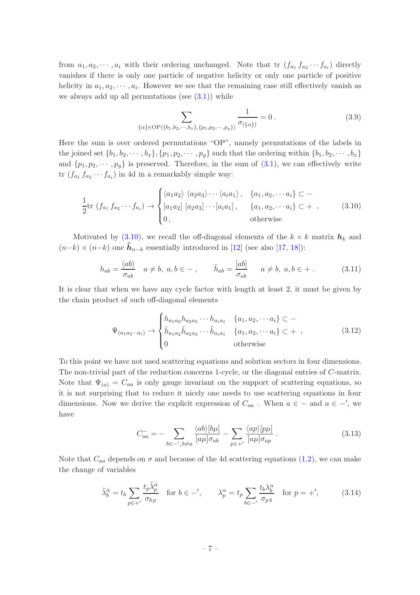from  $a_1, a_2, \dots, a_i$  with their ordering unchanged. Note that tr  $(f_{a_1} f_{a_2} \cdots f_{a_i})$  directly vanishes if there is only one particle of negative helicity or only one particle of positive helicity in  $a_1, a_2, \dots, a_i$ . However we see that the remaining case still effectively vanish as we always add up all permutations (see  $(3.1)$ ) while

$$
\sum_{\{\alpha\} \in \text{OP}(\{b_1, b_2, \cdots, b_x\}, \{p_1, p_2, \cdots, p_y\})} \frac{1}{\sigma(\{\alpha\})} = 0.
$$
 (3.9)

Here the sum is over ordered permutations "OP", namely permutations of the labels in the joined set  $\{b_1, b_2, \cdots, b_x\}, \{p_1, p_2, \cdots, p_y\}$  such that the ordering within  $\{b_1, b_2, \cdots, b_x\}$ and  $\{p_1, p_2, \dots, p_y\}$  is preserved. Therefore, in the sum of  $(3.1)$ , we can effectively write tr  $(f_{a_1} f_{a_2} \cdots f_{a_i})$  in 4d in a remarkably simple way:

<span id="page-7-0"></span>
$$
\frac{1}{2}\text{tr}\left(f_{a_1}f_{a_2}\cdots f_{a_i}\right) \rightarrow \begin{cases} \langle a_1 a_2 \rangle \langle a_2 a_3 \rangle \cdots \langle a_i a_1 \rangle, & \{a_1, a_2, \cdots a_i\} \subset -\\ [a_1 a_2] [a_2 a_3] \cdots [a_i a_1], & \{a_1, a_2, \cdots a_i\} \subset +,\\ 0, & \text{otherwise} \end{cases}
$$
(3.10)

Motivated by [\(3.10\)](#page-7-0), we recall the off-diagonal elements of the  $k \times k$  matrix  $h_k$  and  $(n-k) \times (n-k)$  one  $\tilde{h}_{n-k}$  essentially introduced in [\[12](#page-26-7)] (see also [\[17](#page-26-12), [18\]](#page-26-13)):

<span id="page-7-3"></span>
$$
h_{ab} = \frac{\langle ab \rangle}{\sigma_{ab}} \quad a \neq b, \ a, b \in - , \qquad \tilde{h}_{ab} = \frac{[ab]}{\sigma_{ab}} \qquad a \neq b, \ a, b \in + . \tag{3.11}
$$

It is clear that when we have any cycle factor with length at least 2, it must be given by the chain product of such off-diagonal elements

<span id="page-7-2"></span>
$$
\Psi_{(a_1 a_2 \cdots a_i)} \to \begin{cases} h_{a_1 a_2} h_{a_2 a_3} \cdots h_{a_i a_1} & \{a_1, a_2, \cdots a_i\} \subset - \\ \tilde{h}_{a_1 a_2} \tilde{h}_{a_2 a_3} \cdots \tilde{h}_{a_i a_1} & \{a_1, a_2, \cdots a_i\} \subset + \\ 0 & \text{otherwise} \end{cases}
$$
 (3.12)

To this point we have not used scattering equations and solution sectors in four dimensions. The non-trivial part of the reduction concerns 1-cycle, or the diagonal entries of C-matrix. Note that  $\Psi_{(a)} = C_{aa}$  is only gauge invariant on the support of scattering equations, so it is not surprising that to reduce it nicely one needs to use scattering equations in four dimensions. Now we derive the explicit expression of  $C_{aa}$ . When  $a \in -$  and  $a \in -'$ , we have

<span id="page-7-1"></span>
$$
C_{aa}^{-} = -\sum_{b \in -',b \neq a} \frac{\langle ab \rangle [b\mu]}{[a\mu]\sigma_{ab}} - \sum_{p \in +'} \frac{\langle ap \rangle [p\mu]}{[a\mu]\sigma_{ap}}.
$$
\n(3.13)

Note that  $C_{aa}$  depends on  $\sigma$  and because of the 4d scattering equations [\(1.2\)](#page-2-0), we can make the change of variables

$$
\tilde{\lambda}_b^{\dot{\alpha}} = t_b \sum_{p \in +'} \frac{t_p \tilde{\lambda}_p^{\dot{\alpha}}}{\sigma_{bp}} \quad \text{for } b \in -', \qquad \lambda_p^{\alpha} = t_p \sum_{b \in -'} \frac{t_b \lambda_b^{\alpha}}{\sigma_{pb}} \quad \text{for } p = +', \tag{3.14}
$$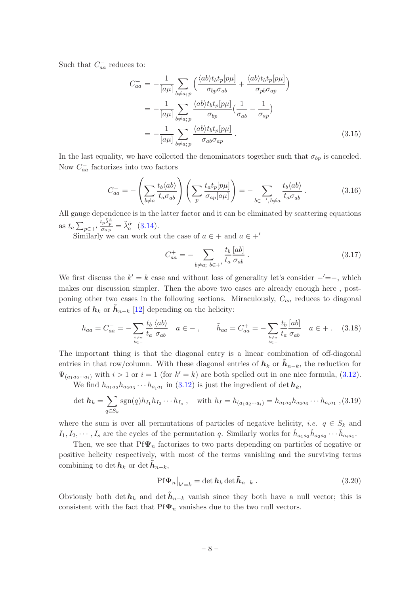Such that  $C_{aa}^-$  reduces to:

<span id="page-8-1"></span>
$$
C_{aa}^{-} = -\frac{1}{[a\mu]} \sum_{b \neq a; p} \left( \frac{\langle ab \rangle t_b t_p [p\mu]}{\sigma_{bp} \sigma_{ab}} + \frac{\langle ab \rangle t_b t_p [p\mu]}{\sigma_{pb} \sigma_{ap}} \right)
$$
  

$$
= -\frac{1}{[a\mu]} \sum_{b \neq a; p} \frac{\langle ab \rangle t_b t_p [p\mu]}{\sigma_{bp}} \left( \frac{1}{\sigma_{ab}} - \frac{1}{\sigma_{ap}} \right)
$$
  

$$
= -\frac{1}{[a\mu]} \sum_{b \neq a; p} \frac{\langle ab \rangle t_b t_p [p\mu]}{\sigma_{ab} \sigma_{ap}} . \tag{3.15}
$$

In the last equality, we have collected the denominators together such that  $\sigma_{bp}$  is canceled. Now  $C_{aa}^-$  factorizes into two factors

<span id="page-8-0"></span>
$$
C_{aa}^- = -\left(\sum_{b \neq a} \frac{t_b \langle ab \rangle}{t_a \sigma_{ab}}\right) \left(\sum_p \frac{t_a t_p [p \mu]}{\sigma_{ap}[a \mu]}\right) = -\sum_{b \in -', b \neq a} \frac{t_b \langle ab \rangle}{t_a \sigma_{ab}}.
$$
 (3.16)

All gauge dependence is in the latter factor and it can be eliminated by scattering equations as  $t_a \sum_{p \in +'}$  $\frac{t_p\tilde{\lambda}^{\dot{\alpha}}_p}{\sigma_{a\,p}}=\tilde{\lambda}^{\dot{\alpha}}_a\ \ \ (3.14).$  $\frac{t_p\tilde{\lambda}^{\dot{\alpha}}_p}{\sigma_{a\,p}}=\tilde{\lambda}^{\dot{\alpha}}_a\ \ \ (3.14).$  $\frac{t_p\tilde{\lambda}^{\dot{\alpha}}_p}{\sigma_{a\,p}}=\tilde{\lambda}^{\dot{\alpha}}_a\ \ \ (3.14).$ 

Similarly we can work out the case of  $a \in +$  and  $a \in +'$ 

$$
C_{aa}^{+} = -\sum_{b \neq a; \ b \in +'} \frac{t_b}{t_a} \frac{[ab]}{\sigma_{ab}}.
$$
 (3.17)

We first discuss the  $k' = k$  case and without loss of generality let's consider  $-′=−$ , which makes our discussion simpler. Then the above two cases are already enough here , postponing other two cases in the following sections. Miraculously,  $C_{aa}$  reduces to diagonal entries of  $h_k$  or  $\tilde{h}_{n-k}$  [\[12\]](#page-26-7) depending on the helicity:

$$
h_{aa} = C_{aa}^- = -\sum_{\substack{b \neq a \\ b \in -}} \frac{t_b \langle ab \rangle}{t_a \sigma_{ab}} \quad a \in -\,, \qquad \tilde{h}_{aa} = C_{aa}^+ = -\sum_{\substack{b \neq a \\ b \in +}} \frac{t_b \langle ab \rangle}{t_a \sigma_{ab}} \quad a \in +\,. \tag{3.18}
$$

The important thing is that the diagonal entry is a linear combination of off-diagonal entries in that row/column. With these diagonal entries of  $h_k$  or  $\tilde{h}_{n-k}$ , the reduction for  $\Psi_{(a_1 a_2 \cdots a_i)}$  with  $i > 1$  or  $i = 1$  (for  $k' = k$ ) are both spelled out in one nice formula, [\(3.12\)](#page-7-2).

We find  $h_{a_1a_2}h_{a_2a_3}\cdots h_{a_ia_1}$  in [\(3.12\)](#page-7-2) is just the ingredient of det  $h_k$ ,

$$
\det \mathbf{h}_k = \sum_{q \in S_k} \text{sgn}(q) h_{I_1} h_{I_2} \cdots h_{I_s} , \quad \text{with } h_I = h_{(a_1 a_2 \cdots a_i)} = h_{a_1 a_2} h_{a_2 a_3} \cdots h_{a_i a_1} , (3.19)
$$

where the sum is over all permutations of particles of negative helicity, *i.e.*  $q \in S_k$  and  $I_1, I_2, \cdots, I_s$  are the cycles of the permutation q. Similarly works for  $\tilde{h}_{a_1a_2}\tilde{h}_{a_2a_3}\cdots\tilde{h}_{a_ia_1}$ .

Then, we see that  $Pf\Psi_n$  factorizes to two parts depending on particles of negative or positive helicity respectively, with most of the terms vanishing and the surviving terms combining to det  $h_k$  or det  $h_{n-k}$ ,

<span id="page-8-2"></span>
$$
\left. \text{Pf}\Psi_n \right|_{k'=k} = \det \mathbf{h}_k \det \tilde{\mathbf{h}}_{n-k} \,. \tag{3.20}
$$

Obviously both det  $h_k$  and det  $h_{n-k}$  vanish since they both have a null vector; this is consistent with the fact that  $Pf\Psi_n$  vanishes due to the two null vectors.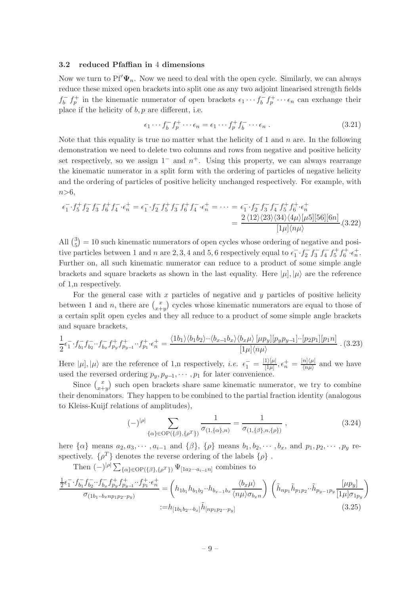#### <span id="page-9-0"></span>3.2 reduced Pfaffian in 4 dimensions

Now we turn to  $Pf'\Psi_n$ . Now we need to deal with the open cycle. Similarly, we can always reduce these mixed open brackets into split one as any two adjoint linearised strength fields  $f_h^$  $f_b^ f_p^+$  in the kinematic numerator of open brackets  $\epsilon_1 \cdots f_b^ \iota_b^- f_p^+ \cdots \epsilon_n$  can exchange their place if the helicity of  $b, p$  are different, i.e.

$$
\epsilon_1 \cdots f_b^- f_p^+ \cdots \epsilon_n = \epsilon_1 \cdots f_p^+ f_b^- \cdots \epsilon_n . \tag{3.21}
$$

Note that this equality is true no matter what the helicity of 1 and  $n$  are. In the following demonstration we need to delete two columns and rows from negative and positive helicity set respectively, so we assign  $1^-$  and  $n^+$ . Using this property, we can always rearrange the kinematic numerator in a split form with the ordering of particles of negative helicity and the ordering of particles of positive helicity unchanged respectively. For example, with  $n>6,$ 

$$
\epsilon_1^- \cdot f_5^+ f_2^- f_3^- f_6^+ f_4^- \cdot \epsilon_n^+ = \epsilon_1^- \cdot f_2^- f_5^+ f_3^- f_6^+ f_4^- \cdot \epsilon_n^+ = \cdots = \epsilon_1^- \cdot f_2^- f_3^- f_4^- f_5^+ f_6^+ \cdot \epsilon_n^+ \n= \frac{2 \langle 12 \rangle \langle 23 \rangle \langle 34 \rangle \langle 4\mu \rangle [\mu 5][56][6n]}{[\mu \langle n \mu \rangle} . (3.22)
$$

All  $\binom{3}{5}$  $\binom{3}{5}$  = 10 such kinematic numerators of open cycles whose ordering of negative and positive particles between 1 and n are 2, 3, 4 and 5, 6 respectively equal to  $\epsilon_1^- \cdot f_2^- f_3^- f_4^- f_5^+ f_6^+ \cdot \epsilon_n^+$ . Further on, all such kinematic numerator can reduce to a product of some simple angle brackets and square brackets as shown in the last equality. Here  $|\mu|, |\mu\rangle$  are the reference of 1,n respectively.

For the general case with  $x$  particles of negative and  $y$  particles of positive helicity between 1 and *n*, there are  $\binom{x}{r+1}$  $x+y$  cycles whose kinematic numerators are equal to those of a certain split open cycles and they all reduce to a product of some simple angle brackets and square brackets,

<span id="page-9-1"></span>
$$
\frac{1}{2}\epsilon_1^- \cdot f_{b_1}^- f_{b_2}^- \cdot f_{b_x}^- f_{p_y}^+ f_{p_{y-1}}^+ \cdot f_{p_1}^+ \cdot \epsilon_n^+ = \frac{\langle 1b_1 \rangle \langle b_1 b_2 \rangle \cdot \langle b_{x-1} b_x \rangle \langle b_x \mu \rangle \left[ \mu p_y \right] \left[ p_y p_{y-1} \right] \cdot \left[ p_2 p_1 \right] \left[ p_1 n \right]}{\left[ 1\mu \right] \langle n\mu \rangle} \tag{3.23}
$$

Here  $|\mu|, |\mu\rangle$  are the reference of 1,n respectively, *i.e.*  $\epsilon_1^- = \frac{|1\rangle|\mu|}{|1\mu|}$  $\frac{1 \rangle [\mu]}{[1 \mu]}, \epsilon^+_n = \frac{|n] \langle \mu |}{\langle n \mu \rangle}$  $\frac{n_{\vert}(\mu)}{\langle n\mu\rangle}$  and we have used the reversed ordering  $p_y, p_{y-1}, \cdots, p_1$  for later convenience.

Since  $\binom{x}{x+1}$  $x+y$  such open brackets share same kinematic numerator, we try to combine their denominators. They happen to be combined to the partial fraction identity (analogous to Kleiss-Kuijf relations of amplitudes),

<span id="page-9-2"></span>
$$
(-)^{|\rho|} \sum_{\{\alpha\} \in \text{OP}(\{\beta\}, \{\rho^T\})} \frac{1}{\sigma_{(1,\{\alpha\},n)}} = \frac{1}{\sigma_{(1,\{\beta\},n,\{\rho\})}},
$$
(3.24)

here  $\{\alpha\}$  means  $a_2, a_3, \cdots, a_{i-1}$  and  $\{\beta\}, \{\rho\}$  means  $b_1, b_2, \cdots, b_x$ , and  $p_1, p_2, \cdots, p_y$  respectively.  $\{\rho^T\}$  denotes the reverse ordering of the labels  $\{\rho\}$ .

Then  $(-)^{|\rho|} \sum_{\{\alpha\} \in \text{OP}(\{\beta\},\{\rho^T\})} \Psi_{[1a_2 \cdots a_{i-1}n]}$  combines to

$$
\frac{\frac{1}{2}\epsilon_1^{-} \cdot f_{b_1}^{-} f_{b_2}^{-} \cdot f_{b_x}^{-} f_{p_y}^{+} f_{p_{y-1}}^{+} \cdot f_{p_1}^{+} \cdot \epsilon_n^{+}}{\sigma_{(1b_1 \cdot b_x n p_1 p_2 \cdot p_y)}} = \left( h_{1b_1} h_{b_1 b_2} \cdot h_{b_{x-1} b_x} \frac{\langle b_x \mu \rangle}{\langle n\mu \rangle \sigma_{b_x n}} \right) \left( \tilde{h}_{n p_1} \tilde{h}_{p_1 p_2} \cdot \tilde{h}_{p_{y-1} p_y} \frac{[\mu p_y]}{[1 \mu] \sigma_{1 p_y}} \right)
$$
\n
$$
:= h_{[1b_1 b_2 \cdots b_x]} \tilde{h}_{[n p_1 p_2 \cdots p_y]} \tag{3.25}
$$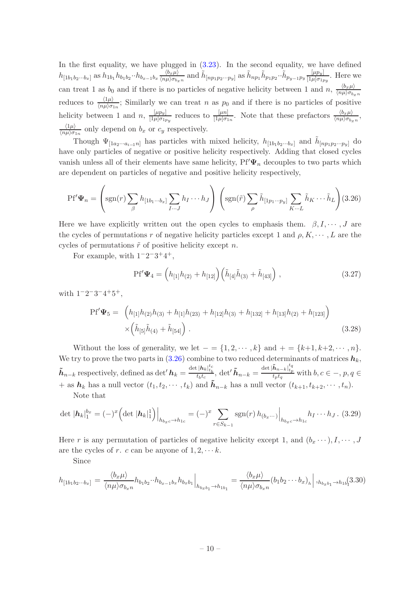In the first equality, we have plugged in  $(3.23)$ . In the second equality, we have defined  $h_{[1b_1b_2\cdots b_x]}$  as  $h_{1b_1}h_{b_1b_2}\cdots h_{b_{x-1}b_x}\frac{\langle b_x\mu \rangle}{\langle n\mu \rangle \sigma_{b_x}}$  $\frac{\langle b_x \mu \rangle}{\langle n\mu \rangle \sigma_{b_x n}}$  and  $\tilde{h}_{[np_1p_2...p_y]}$  as  $\tilde{h}_{np_1} \tilde{h}_{p_1p_2} \cdot \tilde{h}_{p_{y-1}p_y} \frac{[\mu p_y]}{[1\mu]\sigma_{1x}}$  $\frac{\mu p_y}{[1\mu]\sigma_{1py}}$ . Here we can treat 1 as  $b_0$  and if there is no particles of negative helicity between 1 and n,  $\frac{\langle b_x \mu \rangle}{\langle n_u \rangle \sigma_b}$  $\langle n\mu\rangle \sigma_{b_x n}$ reduces to  $\frac{\langle 1\mu \rangle}{\langle n\mu \rangle \sigma_{1n}}$ ; Similarly we can treat n as  $p_0$  and if there is no particles of positive helicity between 1 and  $n, \frac{[\mu p_y]}{[\mu]g_{1x}}$  $\frac{[\mu p_y]}{[1\mu]\sigma_{1p_y}}$  reduces to  $\frac{[\mu n]}{[1\mu]\sigma_{1n}}$ . Note that these prefactors  $\frac{\langle b_x \mu \rangle}{\langle n\mu \rangle \sigma_{b_x n}}$ ,  $\langle 1\mu \rangle$  $\frac{\langle 1\mu\rangle}{\langle n\mu\rangle \sigma_{1n}}$  only depend on  $b_x$  or  $c_y$  respectively.

Though  $\Psi_{[1a_2\cdots a_{i-1}n]}$  has particles with mixed helicity,  $h_{[1b_1b_2\cdots b_x]}$  and  $\tilde{h}_{[np_1p_2\cdots p_y]}$  do have only particles of negative or positive helicity respectively. Adding that closed cycles vanish unless all of their elements have same helicity,  $Pf' \Psi_n$  decouples to two parts which are dependent on particles of negative and positive helicity respectively,

<span id="page-10-0"></span>
$$
\text{Pf}'\Psi_n = \left(\text{sgn}(r)\sum_{\beta} h_{\left[1b_1\cdots b_x\right]} \sum_{I\cdots J} h_I \cdots h_J\right) \left(\text{sgn}(\tilde{r})\sum_{\rho} \tilde{h}_{\left[1p_1\cdots p_y\right]} \sum_{K\cdots L} \tilde{h}_K \cdots \tilde{h}_L\right) (3.26)
$$

Here we have explicitly written out the open cycles to emphasis them.  $\beta, I, \dots, J$  are the cycles of permutations r of negative helicity particles except 1 and  $\rho, K, \dots, L$  are the cycles of permutations  $\tilde{r}$  of positive helicity except n.

For example, with  $1^-2^-3^+4^+$ ,

$$
Pf'\mathbf{\Psi}_4 = \left(h_{[1]}h_{(2)} + h_{[12]}\right)\left(\tilde{h}_{[4]}\tilde{h}_{(3)} + \tilde{h}_{[43]}\right),\tag{3.27}
$$

with  $1^-2^-3^-4^+5^+,$ 

$$
Pf'\Psi_5 = \left(h_{[1]}h_{(2)}h_{(3)} + h_{[1]}h_{(23)} + h_{[12]}h_{(3)} + h_{[132]} + h_{[13]}h_{(2)} + h_{[123]}\right) \times \left(\tilde{h}_{[5]}\tilde{h}_{(4)} + \tilde{h}_{[54]}\right).
$$
\n(3.28)

Without the loss of generality, we let  $- = \{1, 2, \dots, k\}$  and  $+ = \{k+1, k+2, \dots, n\}.$ We try to prove the two parts in  $(3.26)$  combine to two reduced determinants of matrices  $h_k$ ,  $\tilde{\boldsymbol{h}}_{n-k}$  respectively, defined as det' $\boldsymbol{h}_k = \frac{\det |\boldsymbol{h}_k|_{t_b}^{t_c}}{t_b t_c}$ , det' $\tilde{\boldsymbol{h}}_{n-k} = \frac{\det |\tilde{\boldsymbol{h}}_{n-k}|_{t_p}^{t_q}}{t_p t_q}$  $\frac{t_{n-k+t_p}}{t_p t_q}$  with  $b, c \in \mathcal{-}, p, q \in$ + as  $h_k$  has a null vector  $(t_1, t_2, \dots, t_k)$  and  $\tilde{h}_{n-k}$  has a null vector  $(t_{k+1}, t_{k+2}, \dots, t_n)$ . Note that

$$
\det |\mathbf{h}_k|_1^{b_x} = (-)^x \Big( \det |\mathbf{h}_k|_1^1 \Big) \Big|_{h_{b_x c} \to h_{1c}} = (-)^x \sum_{r \in S_{k-1}} \operatorname{sgn}(r) h_{(b_x \cdots)} \Big|_{h_{b_x c} \to h_{1c}} h_I \cdots h_J. \tag{3.29}
$$

Here r is any permutation of particles of negative helicity except 1, and  $(b_x \cdots), I, \cdots, J$ are the cycles of r. c can be anyone of  $1, 2, \cdots k$ .

Since

$$
h_{[1b_1b_2\cdots b_x]} = \frac{\langle b_x \mu \rangle}{\langle n\mu \rangle \sigma_{b_x n}} h_{b_1b_2} \cdots h_{b_{x-1}b_x} h_{b_xb_1} \Big|_{h_{b_xb_1} \to h_{1b_1}} = \frac{\langle b_x \mu \rangle}{\langle n\mu \rangle \sigma_{b_x n}} (b_1b_2 \cdots b_x)_{h} \Big|, h_{b_xb_1} \to h_{1b_1} (3.30)
$$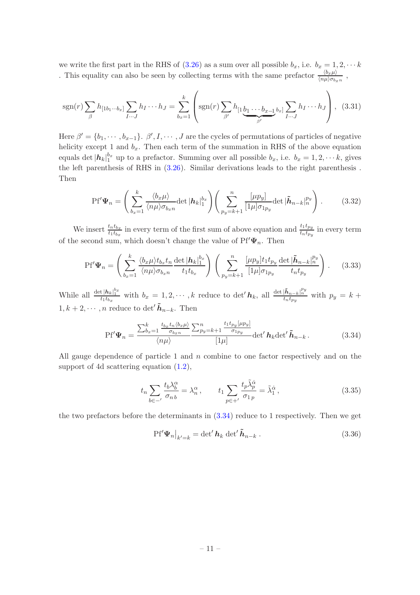we write the first part in the RHS of [\(3.26\)](#page-10-0) as a sum over all possible  $b_x$ , i.e.  $b_x = 1, 2, \cdots k$ . This equality can also be seen by collecting terms with the same prefactor  $\frac{\langle b_x \mu \rangle}{\langle n\mu \rangle \sigma_{b_x n}}$ ,

$$
sgn(r)\sum_{\beta}h_{[1b_1\cdots b_x]}\sum_{I\cdots J}h_I\cdots h_J=\sum_{b_x=1}^k\left(sgn(r)\sum_{\beta'}h_{[1}\underbrace{b_1\cdots b_{x-1}}_{\beta'}b_x]\sum_{I\cdots J}h_I\cdots h_J\right),\quad(3.31)
$$

Here  $\beta' = \{b_1, \dots, b_{x-1}\}\$ .  $\beta', I, \dots, J$  are the cycles of permutations of particles of negative helicity except 1 and  $b_x$ . Then each term of the summation in RHS of the above equation equals det  $|h_k|_1^{b_x}$  up to a prefactor. Summing over all possible  $b_x$ , i.e.  $b_x = 1, 2, \dots k$ , gives the left parenthesis of RHS in [\(3.26\)](#page-10-0). Similar derivations leads to the right parenthesis . Then

<span id="page-11-1"></span>
$$
Pf'\Psi_n = \left(\sum_{b_x=1}^k \frac{\langle b_x \mu \rangle}{\langle n\mu \rangle \sigma_{b_x n}} \det |\mathbf{h}_k|_1^{b_x} \right) \left(\sum_{p_y=k+1}^n \frac{[\mu p_y]}{[1\mu] \sigma_{1p_y}} \det |\tilde{\mathbf{h}}_{n-k}|_n^{p_y} \right).
$$
(3.32)

We insert  $\frac{t_n t_{b_x}}{t_1 t_{b_x}}$  in every term of the first sum of above equation and  $\frac{t_1 t_{p_y}}{t_n t_{p_y}}$  in every term of the second sum, which doesn't change the value of  ${\rm Pf}'\Psi_n.$  Then

$$
Pf'\Psi_n = \left(\sum_{b_x=1}^k \frac{\langle b_x \mu \rangle t_{b_x} t_n}{\langle n\mu \rangle \sigma_{b_x n}} \frac{\det |\mathbf{h}_k|_1^{b_x}}{t_1 t_{b_x}}\right) \left(\sum_{p_y=k+1}^n \frac{[\mu p_y] t_1 t_{p_y}}{[1 \mu] \sigma_{1p_y}} \frac{\det |\tilde{\mathbf{h}}_{n-k}|_n^{p_y}}{t_n t_{p_y}}\right). \tag{3.33}
$$

While all  $\frac{\det |h_k|_1^{b_x}}{t_1t_{b_x}}$  with  $b_x = 1, 2, \cdots, k$  reduce to  $\det' h_k$ , all  $\frac{\det |\tilde{h}_{n-k}|_n^{p_y}}{t_n t_{p_y}}$  with  $p_y = k + 1$  $1, k+2, \cdots, n$  reduce to det'  $\tilde{h}_{n-k}$ . Then

<span id="page-11-0"></span>
$$
\text{Pf}'\Psi_n = \frac{\sum_{b_x=1}^k \frac{t_{b_x}t_n \langle b_x \mu \rangle}{\sigma_{b_x n}}}{\langle n\mu \rangle} \frac{\sum_{p_y=k+1}^n \frac{t_1t_{p_y}[\mu p_y]}{\sigma_{1p_y}}}{[1\mu]} \text{det}' \, \boldsymbol{h}_k \text{det}' \, \boldsymbol{\tilde{h}}_{n-k} \,. \tag{3.34}
$$

All gauge dependence of particle 1 and n combine to one factor respectively and on the support of 4d scattering equation [\(1.2\)](#page-2-0),

$$
t_n \sum_{b \in -'} \frac{t_b \lambda_b^{\alpha}}{\sigma_{n b}} = \lambda_n^{\alpha}, \qquad t_1 \sum_{p \in +'} \frac{t_p \tilde{\lambda}_p^{\dot{\alpha}}}{\sigma_{1 p}} = \tilde{\lambda}_1^{\dot{\alpha}}, \tag{3.35}
$$

the two prefactors before the determinants in [\(3.34\)](#page-11-0) reduce to 1 respectively. Then we get

<span id="page-11-2"></span>
$$
Pf'\Psi_n|_{k'=k} = \det' h_k \det' \tilde{h}_{n-k} . \qquad (3.36)
$$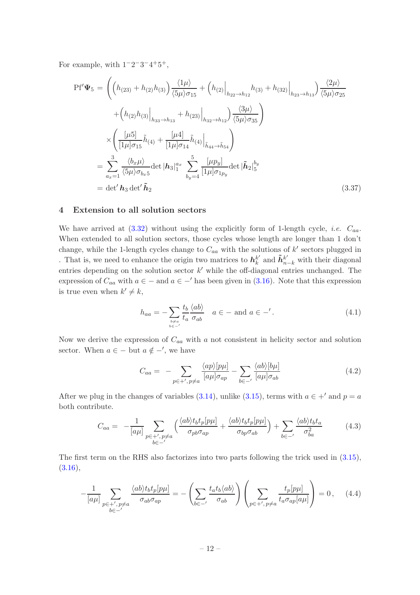For example, with  $1^-2^-3^-4^+5^+,$ 

$$
Pf'\Psi_{5} = \left( \left( h_{(23)} + h_{(2)}h_{(3)} \right) \frac{\langle 1\mu \rangle}{\langle 5\mu \rangle \sigma_{15}} + \left( h_{(2)} \Big|_{h_{22} \to h_{12}} h_{(3)} + h_{(32)} \Big|_{h_{23} \to h_{13}} \right) \frac{\langle 2\mu \rangle}{\langle 5\mu \rangle \sigma_{25}} + \left( h_{(2)}h_{(3)} \Big|_{h_{33} \to h_{13}} + h_{(23)} \Big|_{h_{32} \to h_{12}} \right) \frac{\langle 3\mu \rangle}{\langle 5\mu \rangle \sigma_{35}} \right) \times \left( \frac{\left[ \mu 5 \right]}{\left[ 1\mu \right] \sigma_{15}} \tilde{h}_{(4)} + \frac{\left[ \mu 4 \right]}{\left[ 1\mu \right] \sigma_{14}} \tilde{h}_{(4)} \Big|_{\tilde{h}_{44} \to \tilde{h}_{54}} \right) = \sum_{a_x=1}^3 \frac{\langle b_x \mu \rangle}{\langle 5\mu \rangle \sigma_{b_x 5}} \det |h_3|_1^{a_x} \sum_{b_y=4}^5 \frac{\left[ \mu p_y \right]}{\left[ 1\mu \right] \sigma_{1p_y}} \det |h_2|_5^{b_y} = \det' h_3 \det' \tilde{h}_2
$$
\n(3.37)

#### <span id="page-12-0"></span>4 Extension to all solution sectors

We have arrived at  $(3.32)$  without using the explicitly form of 1-length cycle, *i.e.*  $C_{aa}$ . When extended to all solution sectors, those cycles whose length are longer than 1 don't change, while the 1-length cycles change to  $C_{aa}$  with the solutions of  $k'$  sectors plugged in . That is, we need to enhance the origin two matrices to  $h_k^k$  $_{k}^{k^{\prime}}$  and  $\tilde{\pmb{h}}_{n-k}^{k^{\prime}}$  with their diagonal entries depending on the solution sector  $k'$  while the off-diagonal entries unchanged. The expression of  $C_{aa}$  with  $a \in -$  and  $a \in -'$  has been given in [\(3.16\)](#page-8-0). Note that this expression is true even when  $k' \neq k$ ,

<span id="page-12-1"></span>
$$
h_{aa} = -\sum_{\substack{b \neq a \\ b \in -'} } \frac{t_b}{t_a} \frac{\langle ab \rangle}{\sigma_{ab}} \quad a \in - \text{ and } a \in -'.
$$
 (4.1)

Now we derive the expression of  $C_{aa}$  with a not consistent in helicity sector and solution sector. When  $a \in -$  but  $a \notin -'$ , we have

$$
C_{aa} = -\sum_{p \in +', p \neq a} \frac{\langle ap \rangle [p\mu]}{[a\mu]\sigma_{ap}} - \sum_{b \in -'} \frac{\langle ab \rangle [b\mu]}{[a\mu]\sigma_{ab}} \tag{4.2}
$$

After we plug in the changes of variables [\(3.14\)](#page-7-1), unlike [\(3.15\)](#page-8-1), terms with  $a \in +'$  and  $p = a$ both contribute.

$$
C_{aa} = -\frac{1}{[a\mu]} \sum_{\substack{p \in +', p \neq a \\ b \in -'}} \left( \frac{\langle ab \rangle t_b t_p [p\mu]}{\sigma_{pb} \sigma_{ap}} + \frac{\langle ab \rangle t_b t_p [p\mu]}{\sigma_{bp} \sigma_{ab}} \right) + \sum_{b \in -'} \frac{\langle ab \rangle t_b t_a}{\sigma_{ba}^2} \tag{4.3}
$$

The first term on the RHS also factorizes into two parts following the trick used in [\(3.15\)](#page-8-1),  $(3.16),$  $(3.16),$ 

$$
-\frac{1}{[a\mu]}\sum_{\substack{p\in +',p\neq a\\b\in -'}}\frac{\langle ab\rangle t_b t_p[p\mu]}{\sigma_{ab}\sigma_{ap}} = -\left(\sum_{b\in -'}\frac{t_a t_b \langle ab\rangle}{\sigma_{ab}}\right)\left(\sum_{p\in +',p\neq a}\frac{t_p[p\mu]}{t_a\sigma_{ap}[a\mu]}\right) = 0\,,\tag{4.4}
$$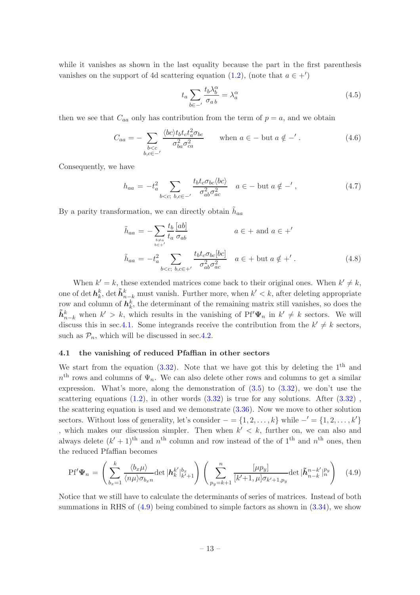while it vanishes as shown in the last equality because the part in the first parenthesis vanishes on the support of 4d scattering equation [\(1.2\)](#page-2-0), (note that  $a \in +'$ )

$$
t_a \sum_{b \in -'} \frac{t_b \lambda_b^{\alpha}}{\sigma_{ab}} = \lambda_a^{\alpha} \tag{4.5}
$$

then we see that  $C_{aa}$  only has contribution from the term of  $p = a$ , and we obtain

$$
C_{aa} = -\sum_{\substack{b < c \\ b,c \in -'}} \frac{\langle bc \rangle t_b t_c t_a^2 \sigma_{bc}}{\sigma_{ba}^2 \sigma_{ca}^2} \qquad \text{when } a \in - \text{ but } a \notin -' \,. \tag{4.6}
$$

Consequently, we have

<span id="page-13-2"></span>
$$
h_{aa} = -t_a^2 \sum_{b < c; \ b, c \in -'} \frac{t_b t_c \sigma_{bc} \langle bc \rangle}{\sigma_{ab}^2 \sigma_{ac}^2} \quad a \in -\text{ but } a \notin -', \tag{4.7}
$$

By a parity transformation, we can directly obtain  $\tilde{h}_{aa}$ 

<span id="page-13-3"></span>
$$
\tilde{h}_{aa} = -\sum_{\substack{b \neq a \\ b \in \mathcal{C}}} \frac{t_b}{t_a} \frac{[ab]}{\sigma_{ab}} \qquad a \in + \text{ and } a \in +'
$$
\n
$$
\tilde{h}_{aa} = -t_a^2 \sum_{b < c; \ b, c \in +'} \frac{t_b t_c \sigma_{bc} [bc]}{\sigma_{ab}^2 \sigma_{ac}^2} \quad a \in + \text{ but } a \notin +'.
$$
\n
$$
(4.8)
$$

When  $k' = k$ , these extended matrices come back to their original ones. When  $k' \neq k$ , one of det  $h_k^k$ , det  $\tilde{h}_{n-k}^k$  must vanish. Further more, when  $k' < k$ , after deleting appropriate row and column of  $h_k^k$ , the determinant of the remaining matrix still vanishes, so does the  $\tilde{\bm{h}}_{n-k}^k$  when  $k' > k$ , which results in the vanishing of  $Pf' \Psi_n$  in  $k' \neq k$  sectors. We will discuss this in sec. 4.1. Some integrands receive the contribution from the  $k' \neq k$  sectors, such as  $\mathcal{P}_n$ , which will be discussed in sec[.4.2.](#page-15-0)

#### <span id="page-13-0"></span>4.1 the vanishing of reduced Pfaffian in other sectors

We start from the equation  $(3.32)$ . Note that we have got this by deleting the 1<sup>th</sup> and  $n<sup>th</sup>$  rows and columns of  $\Psi_n$ . We can also delete other rows and columns to get a similar expression. What's more, along the demonstration of [\(3.5\)](#page-6-1) to [\(3.32\)](#page-11-1), we don't use the scattering equations  $(1.2)$ , in other words  $(3.32)$  is true for any solutions. After  $(3.32)$ , the scattering equation is used and we demonstrate [\(3.36\)](#page-11-2). Now we move to other solution sectors. Without loss of generality, let's consider  $- = \{1, 2, \ldots, k\}$  while  $-' = \{1, 2, \ldots, k'\}$ , which makes our discussion simpler. Then when  $k' < k$ , further on, we can also and always delete  $(k' + 1)$ <sup>th</sup> and  $n<sup>th</sup>$  column and row instead of the of 1<sup>th</sup> and  $n<sup>th</sup>$  ones, then the reduced Pfaffian becomes

<span id="page-13-1"></span>
$$
Pf'\Psi_n = \left(\sum_{b_x=1}^k \frac{\langle b_x \mu \rangle}{\langle n\mu \rangle \sigma_{b_x n}} \det |h_k^{k'}|_{k'+1}^{b_x} \right) \left(\sum_{p_y=k+1}^n \frac{[\mu p_y]}{[k'+1,\mu] \sigma_{k'+1,p_y}} \det |\tilde{h}_{n-k}^{n-k'}|_n^{p_y} \right) \tag{4.9}
$$

Notice that we still have to calculate the determinants of series of matrices. Instead of both summations in RHS of  $(4.9)$  being combined to simple factors as shown in  $(3.34)$ , we show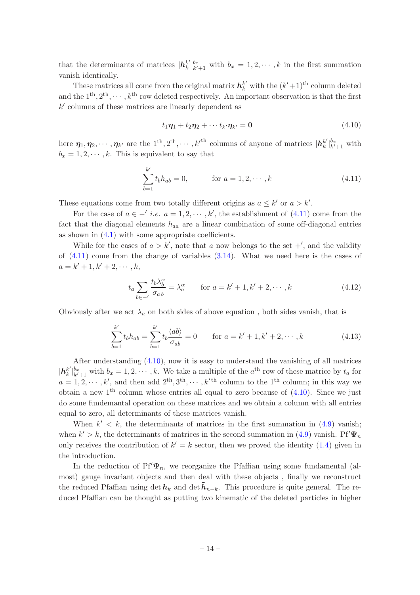that the determinants of matrices  $|h_k^{k'}\rangle$  ${k' \brack k'}$  $b_{k+1}^{b_{x}}$  with  $b_{x} = 1, 2, \cdots, k$  in the first summation vanish identically.

These matrices all come from the original matrix  $h_k^{k'}$  with the  $(k'+1)$ <sup>th</sup> column deleted and the  $1^{th}, 2^{th}, \dots, k^{th}$  row deleted respectively. An important observation is that the first k ′ columns of these matrices are linearly dependent as

<span id="page-14-1"></span>
$$
t_1\eta_1 + t_2\eta_2 + \cdots + t_{k'}\eta_{k'} = \mathbf{0} \tag{4.10}
$$

here  $\eta_1, \eta_2, \cdots, \eta_{k'}$  are the  $1^{\text{th}}, 2^{\text{th}}, \cdots, k'^{\text{th}}$  columns of anyone of matrices  $|h_k^k|$  $\frac{k'}{k}\Big|_{k'}^{b_x}$  $\frac{b_x}{k'+1}$  with  $b_x = 1, 2, \dots, k$ . This is equivalent to say that

<span id="page-14-0"></span>
$$
\sum_{b=1}^{k'} t_b h_{ab} = 0, \qquad \text{for } a = 1, 2, \cdots, k
$$
 (4.11)

These equations come from two totally different origins as  $a \leq k'$  or  $a > k'$ .

For the case of  $a \in \{-1, 2, \dots, k\}$ , the establishment of  $(4.11)$  come from the fact that the diagonal elements  $h_{aa}$  are a linear combination of some off-diagonal entries as shown in  $(4.1)$  with some appropriate coefficients.

While for the cases of  $a > k'$ , note that a now belongs to the set  $+'$ , and the validity of  $(4.11)$  come from the change of variables  $(3.14)$ . What we need here is the cases of  $a = k' + 1, k' + 2, \cdots, k,$ 

$$
t_a \sum_{b \in -'} \frac{t_b \lambda_b^{\alpha}}{\sigma_{ab}} = \lambda_a^{\alpha} \qquad \text{for } a = k' + 1, k' + 2, \cdots, k
$$
 (4.12)

Obviously after we act  $\lambda_a$  on both sides of above equation, both sides vanish, that is

$$
\sum_{b=1}^{k'} t_b h_{ab} = \sum_{b=1}^{k'} t_b \frac{\langle ab \rangle}{\sigma_{ab}} = 0 \quad \text{for } a = k' + 1, k' + 2, \cdots, k
$$
 (4.13)

After understanding [\(4.10\)](#page-14-1), now it is easy to understand the vanishing of all matrices  $|\bm{h}^{k'}_k\>$  $\frac{k'}{k}\Big|_{k'}^{b_x}$  $b_x^{b_x}$  with  $b_x = 1, 2, \dots, k$ . We take a multiple of the  $a^{\text{th}}$  row of these matrice by  $t_a$  for  $a=1,2,\dots,k'$ , and then add  $2^{th},3^{th},\dots,k'$ <sup>th</sup> column to the 1<sup>th</sup> column; in this way we obtain a new  $1^{th}$  column whose entries all equal to zero because of  $(4.10)$ . Since we just do some fundemantal operation on these matrices and we obtain a column with all entries equal to zero, all determinants of these matrices vanish.

When  $k' < k$ , the determinants of matrices in the first summation in  $(4.9)$  vanish; when  $k' > k$ , the determinants of matrices in the second summation in [\(4.9\)](#page-13-1) vanish. Pf' $\Psi_n$ only receives the contribution of  $k' = k$  sector, then we proved the identity [\(1.4\)](#page-3-1) given in the introduction.

In the reduction of  $Pf'\Psi_n$ , we reorganize the Pfaffian using some fundamental (almost) gauge invariant objects and then deal with these objects , finally we reconstruct the reduced Pfaffian using det  $h_k$  and det  $\tilde{h}_{n-k}$ . This procedure is quite general. The reduced Pfaffian can be thought as putting two kinematic of the deleted particles in higher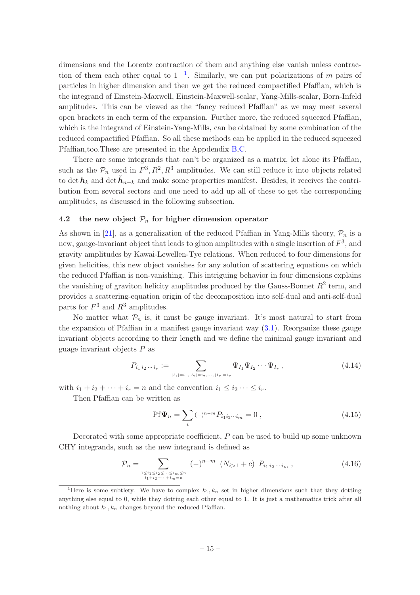dimensions and the Lorentz contraction of them and anything else vanish unless contraction of them each other equal to  $1^{-1}$  $1^{-1}$ . Similarly, we can put polarizations of m pairs of particles in higher dimension and then we get the reduced compactified Pfaffian, which is the integrand of Einstein-Maxwell, Einstein-Maxwell-scalar, Yang-Mills-scalar, Born-Infeld amplitudes. This can be viewed as the "fancy reduced Pfaffian" as we may meet several open brackets in each term of the expansion. Further more, the reduced squeezed Pfaffian, which is the integrand of Einstein-Yang-Mills, can be obtained by some combination of the reduced compactified Pfaffian. So all these methods can be applied in the reduced squeezed Pfaffian,too.These are presented in the Appdendix [B,](#page-20-0)[C.](#page-25-0)

There are some integrands that can't be organized as a matrix, let alone its Pfaffian, such as the  $\mathcal{P}_n$  used in  $F^3, R^2, R^3$  amplitudes. We can still reduce it into objects related to det  $h_k$  and det  $\tilde{h}_{n-k}$  and make some properties manifest. Besides, it receives the contribution from several sectors and one need to add up all of these to get the corresponding amplitudes, as discussed in the following subsection.

#### <span id="page-15-0"></span>4.2 the new object  $P_n$  for higher dimension operator

As shown in [\[21](#page-26-16)], as a generalization of the reduced Pfaffian in Yang-Mills theory,  $\mathcal{P}_n$  is a new, gauge-invariant object that leads to gluon amplitudes with a single insertion of  $F^3$ , and gravity amplitudes by Kawai-Lewellen-Tye relations. When reduced to four dimensions for given helicities, this new object vanishes for any solution of scattering equations on which the reduced Pfaffian is non-vanishing. This intriguing behavior in four dimensions explains the vanishing of graviton helicity amplitudes produced by the Gauss-Bonnet  $R^2$  term, and provides a scattering-equation origin of the decomposition into self-dual and anti-self-dual parts for  $F^3$  and  $R^3$  amplitudes.

No matter what  $P_n$  is, it must be gauge invariant. It's most natural to start from the expansion of Pfaffian in a manifest gauge invariant way  $(3.1)$ . Reorganize these gauge invariant objects according to their length and we define the minimal gauge invariant and guage invariant objects  $P$  as

$$
P_{i_1 i_2 \cdots i_r} := \sum_{|I_1| = i_1, |I_2| = i_2, \cdots, |I_r| = i_r} \Psi_{I_1} \Psi_{I_2} \cdots \Psi_{I_r} ,
$$
\n(4.14)

with  $i_1 + i_2 + \cdots + i_r = n$  and the convention  $i_1 \leq i_2 \cdots \leq i_r$ .

Then Pfaffian can be written as

<span id="page-15-2"></span>
$$
\text{Pf}\Psi_n = \sum_{i} (-)^{n-m} P_{i_1 i_2 \cdots i_m} = 0 \,, \tag{4.15}
$$

Decorated with some appropriate coefficient, P can be used to build up some unknown CHY integrands, such as the new integrand is defined as

<span id="page-15-3"></span>
$$
\mathcal{P}_n = \sum_{\substack{1 \le i_1 \le i_2 \le \dots \le i_m \le n \\ i_1 + i_2 + \dots + i_m = n}} (-)^{n-m} \left( N_{i>1} + c \right) P_{i_1 i_2 \dots i_m} , \qquad (4.16)
$$

<span id="page-15-1"></span><sup>&</sup>lt;sup>1</sup>Here is some subtlety. We have to complex  $k_1, k_n$  set in higher dimensions such that they dotting anything else equal to 0, while they dotting each other equal to 1. It is just a mathematics trick after all nothing about  $k_1, k_n$  changes beyond the reduced Pfaffian.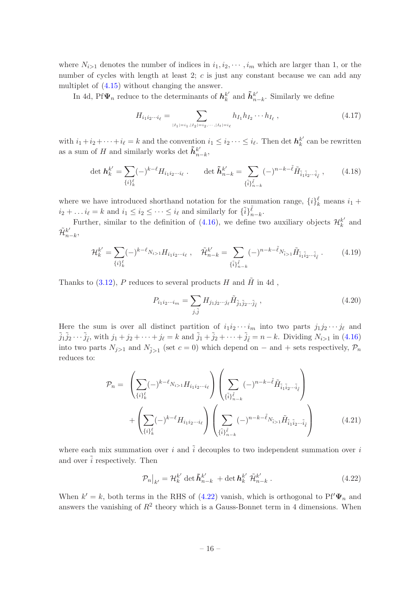where  $N_{i>1}$  denotes the number of indices in  $i_1, i_2, \dots, i_m$  which are larger than 1, or the number of cycles with length at least  $2$ ; c is just any constant because we can add any multiplet of [\(4.15\)](#page-15-2) without changing the answer.

In 4d, Pf $\Psi_n$  reduce to the determinants of  $h_k^k$  $_{k}^{k'}$  and  $\tilde{\boldsymbol{h}}_{n}^{k'}$  $_{n-k}^k$ . Similarly we define

$$
H_{i_1 i_2 \cdots i_\ell} = \sum_{|I_1| = i_1, |I_2| = i_2, \cdots, |I_t| = i_\ell} h_{I_1} h_{I_2} \cdots h_{I_\ell} , \qquad (4.17)
$$

with  $i_1 + i_2 + \cdots + i_\ell = k$  and the convention  $i_1 \leq i_2 \cdots \leq i_\ell$ . Then det  $h_k^{k'}$  $k \atop k$  can be rewritten as a sum of H and similarly works det  $\tilde{h}_n^{k'}$  $_{n-k}^{\kappa'}$ 

$$
\det \mathbf{h}_{k}^{k'} = \sum_{\{i\}_{k}^{\ell}} (-)^{k-\ell} H_{i_1 i_2 \cdots i_{\ell}} \, . \qquad \det \tilde{\mathbf{h}}_{n-k}^{k'} = \sum_{\{\tilde{i}\}_{n-k}^{\tilde{\ell}} (-)} (-)^{n-k-\tilde{\ell}} \tilde{H}_{\tilde{i}_1 \tilde{i}_2 \cdots \tilde{i}_{\tilde{\ell}}} \,, \tag{4.18}
$$

where we have introduced shorthand notation for the summation range,  $\{i\}_k^{\ell}$  means  $i_1$  +  $i_2 + \ldots i_\ell = k$  and  $i_1 \leq i_2 \leq \cdots \leq i_\ell$  and similarly for  $\{\tilde{i}\}_{n-k}^{\tilde{\ell}}$ .

Further, similar to the definition of [\(4.16\)](#page-15-3), we define two auxiliary objects  $\mathcal{H}_k^{k'}$  $k^{\prime}$  and  $\tilde{\mathcal{H}}_n^{k'}$  $_{n-k}^{\kappa'}$ 

$$
\mathcal{H}_k^{k'} = \sum_{\{i\}_{k}^{\ell}} (-)^{k-\ell} N_{i>1} H_{i_1 i_2 \cdots i_\ell} , \quad \tilde{\mathcal{H}}_{n-k}^{k'} = \sum_{\{\tilde{i}\}_{n-k}^{\tilde{\ell}} (-)} (-)^{n-k-\tilde{\ell}} N_{\tilde{i}>1} \tilde{H}_{\tilde{i}_1 \tilde{i}_2 \cdots \tilde{i}_\ell} . \tag{4.19}
$$

Thanks to [\(3.12\)](#page-7-2), P reduces to several products H and  $\tilde{H}$  in 4d,

$$
P_{i_1 i_2 \cdots i_m} = \sum_{j,\tilde{j}} H_{j_1 j_2 \cdots j_\ell} \tilde{H}_{\tilde{j}_1 \tilde{j}_2 \cdots \tilde{j}_\ell} , \qquad (4.20)
$$

Here the sum is over all distinct partition of  $i_1i_2\cdots i_m$  into two parts  $j_1j_2\cdots j_\ell$  and  $\tilde{j}_1 \tilde{j}_2 \cdots \tilde{j}_{\tilde{\ell}}$ , with  $j_1 + j_2 + \cdots + j_{\ell} = k$  and  $\tilde{j}_1 + \tilde{j}_2 + \cdots + \tilde{j}_{\tilde{\ell}} = n - k$ . Dividing  $N_{i>1}$  in [\(4.16\)](#page-15-3) into two parts  $N_{j>1}$  and  $N_{j>1}$  (set  $c=0$ ) which depend on  $-$  and  $+$  sets respectively,  $\mathcal{P}_n$ reduces to:

$$
\mathcal{P}_{n} = \left( \sum_{\{i\}_{k}^{\ell}} (-)^{k-\ell} N_{i>1} H_{i_{1} i_{2} \cdots i_{\ell}} \right) \left( \sum_{\{i\}_{n=k}^{\ell}} (-)^{n-k-\tilde{\ell}} \tilde{H}_{\tilde{i}_{1} \tilde{i}_{2} \cdots \tilde{i}_{\ell}} \right) + \left( \sum_{\{i\}_{k}^{\ell}} (-)^{k-\ell} H_{i_{1} i_{2} \cdots i_{\ell}} \right) \left( \sum_{\{i\}_{n=k}^{\ell}} (-)^{n-k-\tilde{\ell}} N_{i>1} \tilde{H}_{\tilde{i}_{1} \tilde{i}_{2} \cdots \tilde{i}_{\ell}} \right) \tag{4.21}
$$

where each mix summation over i and  $\tilde{i}$  decouples to two independent summation over i and over  $\tilde{i}$  respectively. Then

<span id="page-16-0"></span>
$$
\mathcal{P}_n\big|_{k'} = \mathcal{H}_k^{k'} \det \tilde{\boldsymbol{h}}_{n-k}^{k'} + \det \boldsymbol{h}_k^{k'} \tilde{\mathcal{H}}_{n-k}^{k'}.
$$
\n(4.22)

When  $k' = k$ , both terms in the RHS of [\(4.22\)](#page-16-0) vanish, which is orthogonal to Pf' $\Psi_n$  and answers the vanishing of  $R^2$  theory which is a Gauss-Bonnet term in 4 dimensions. When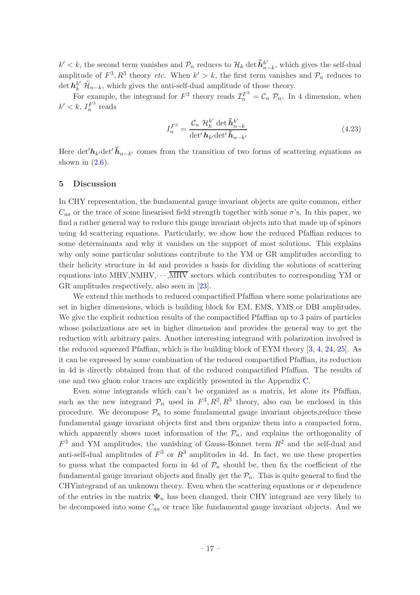$k' < k$ , the second term vanishes and  $\mathcal{P}_n$  reduces to  $\mathcal{H}_k$  det  $\tilde{h}_n^{k'}$ .  $_{n-k}^{k'}$ , which gives the self-dual amplitude of  $F^3$ ,  $R^3$  theory *etc.* When  $k' > k$ , the first term vanishes and  $\mathcal{P}_n$  reduces to det  $h_k^{k'}$   $\mathcal{H}_{n-k}$ , which gives the anti-self-dual amplitude of those theory.

For example, the integrand for  $F^3$  theory reads  $\mathcal{I}_n^{F^3} = \mathcal{C}_n \mathcal{P}_n$ . In 4 dimension, when  $k' < k$ ,  $I_n^{F^3}$  reads

$$
I_n^{F^3} = \frac{\mathcal{C}_n \ \mathcal{H}_k^{k'} \ \det \tilde{\boldsymbol{h}}_{n-k}^{k'}}{\det' \boldsymbol{h}_{k'} \det' \tilde{\boldsymbol{h}}_{n-k'}} \tag{4.23}
$$

Here det' $h_{k'}$ det' $\tilde{h}_{n-k'}$  comes from the transition of two forms of scattering equations as shown in  $(2.6)$ .

#### <span id="page-17-0"></span>5 Discussion

In CHY representation, the fundamental gauge invariant objects are quite common, either  $C_{aa}$  or the trace of some linearised field strength together with some  $\sigma$ 's. In this paper, we find a rather general way to reduce this gauge invariant objects into that made up of spinors using 4d scattering equations. Particularly, we show how the reduced Pfaffian reduces to some determinants and why it vanishes on the support of most solutions. This explains why only some particular solutions contribute to the YM or GR amplitudes according to their helicity structure in 4d and provides a basis for dividing the solutions of scattering equations into MHV, NMHV,  $\cdots$ ,  $\overline{\text{MHV}}$  sectors which contributes to corresponding YM or GR amplitudes respectively, also seen in [\[23](#page-26-18)].

We extend this methods to reduced compactified Pfaffian where some polarizations are set in higher dimensions, which is building block for EM, EMS, YMS or DBI amplitudes. We give the explicit reduction results of the compactified Pfaffian up to 3 pairs of particles whose polarizations are set in higher dimension and provides the general way to get the reduction with arbitrary pairs. Another interesting integrand with polarization involved is the reduced squeezed Pfaffian, which is the building block of EYM theory [\[3,](#page-26-19) [4](#page-26-0), [24](#page-26-20), [25\]](#page-27-0). As it can be expressed by some combination of the reduced compactified Pfaffian, its reduction in 4d is directly obtained from that of the reduced compactified Pfaffian. The results of one and two gluon color traces are explicitly presented in the Appendix [C.](#page-25-0)

Even some integrands which can't be organized as a matrix, let alone its Pfaffian, such as the new integrand  $\mathcal{P}_n$  used in  $F^3, R^2, R^3$  theory, also can be enclosed in this procedure. We decompose  $\mathcal{P}_n$  to some fundamental gauge invariant objects, reduce these fundamental gauge invariant objects first and then organize them into a compacted form, which apparently shows most information of the  $\mathcal{P}_n$ , and explains the orthogonality of  $F<sup>3</sup>$  and YM amplitudes, the vanishing of Gauss-Bonnet term  $R<sup>2</sup>$  and the self-dual and anti-self-dual amplitudes of  $F^3$  or  $R^3$  amplitudes in 4d. In fact, we use these properties to guess what the compacted form in 4d of  $\mathcal{P}_n$  should be, then fix the coefficient of the fundamental gauge invariant objects and finally get the  $\mathcal{P}_n$ . This is quite general to find the CHYintegrand of an unknown theory. Even when the scattering equations or  $\sigma$  dependence of the entries in the matrix  $\Psi_n$  has been changed, their CHY integrand are very likely to be decomposed into some  $C_{aa}$  or trace like fundamental gauge invariant objects. And we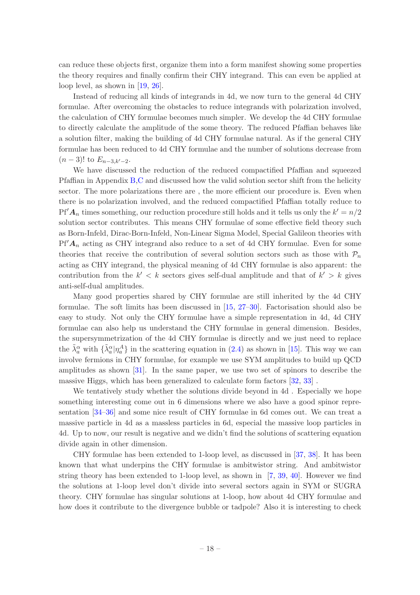can reduce these objects first, organize them into a form manifest showing some properties the theory requires and finally confirm their CHY integrand. This can even be applied at loop level, as shown in [\[19](#page-26-14), [26\]](#page-27-1).

Instead of reducing all kinds of integrands in 4d, we now turn to the general 4d CHY formulae. After overcoming the obstacles to reduce integrands with polarization involved, the calculation of CHY formulae becomes much simpler. We develop the 4d CHY formulae to directly calculate the amplitude of the some theory. The reduced Pfaffian behaves like a solution filter, making the building of 4d CHY formulae natural. As if the general CHY formulae has been reduced to 4d CHY formulae and the number of solutions decrease from  $(n-3)!$  to  $E_{n-3,k'-2}$ .

We have discussed the reduction of the reduced compactified Pfaffian and squeezed Pfaffian in Appendix [B](#page-20-0)[,C](#page-25-0) and discussed how the valid solution sector shift from the helicity sector. The more polarizations there are , the more efficient our procedure is. Even when there is no polarization involved, and the reduced compactified Pfaffian totally reduce to  $\text{Pf}'A_n$  times something, our reduction procedure still holds and it tells us only the  $k' = n/2$ solution sector contributes. This means CHY formulae of some effective field theory such as Born-Infeld, Dirac-Born-Infeld, Non-Linear Sigma Model, Special Galileon theories with  $Pf' A_n$  acting as CHY integrand also reduce to a set of 4d CHY formulae. Even for some theories that receive the contribution of several solution sectors such as those with  $\mathcal{P}_n$ acting as CHY integrand, the physical meaning of 4d CHY formulae is also apparent: the contribution from the  $k' < k$  sectors gives self-dual amplitude and that of  $k' > k$  gives anti-self-dual amplitudes.

Many good properties shared by CHY formulae are still inherited by the 4d CHY formulae. The soft limits has been discussed in [\[15](#page-26-10), [27](#page-27-2)[–30\]](#page-27-3). Factorisation should also be easy to study. Not only the CHY formulae have a simple representation in 4d, 4d CHY formulae can also help us understand the CHY formulae in general dimension. Besides, the supersymmetrization of the 4d CHY formulae is directly and we just need to replace the  $\tilde{\lambda}_a^{\alpha}$  with  $\{\tilde{\lambda}_a^{\alpha} | \eta_a^A\}$  in the scattering equation in [\(2.4\)](#page-4-1) as shown in [\[15](#page-26-10)]. This way we can involve fermions in CHY formulae, for example we use SYM amplitudes to build up QCD amplitudes as shown [\[31](#page-27-4)]. In the same paper, we use two set of spinors to describe the massive Higgs, which has been generalized to calculate form factors [\[32](#page-27-5), [33](#page-27-6)] .

We tentatively study whether the solutions divide beyond in 4d . Especially we hope something interesting come out in 6 dimensions where we also have a good spinor representation [\[34](#page-27-7)[–36\]](#page-27-8) and some nice result of CHY formulae in 6d comes out. We can treat a massive particle in 4d as a massless particles in 6d, especial the massive loop particles in 4d. Up to now, our result is negative and we didn't find the solutions of scattering equation divide again in other dimension.

CHY formulae has been extended to 1-loop level, as discussed in [\[37,](#page-27-9) [38](#page-27-10)]. It has been known that what underpins the CHY formulae is ambitwistor string. And ambitwistor string theory has been extended to 1-loop level, as shown in [\[7](#page-26-3), [39,](#page-27-11) [40](#page-27-12)]. However we find the solutions at 1-loop level don't divide into several sectors again in SYM or SUGRA theory. CHY formulae has singular solutions at 1-loop, how about 4d CHY formulae and how does it contribute to the divergence bubble or tadpole? Also it is interesting to check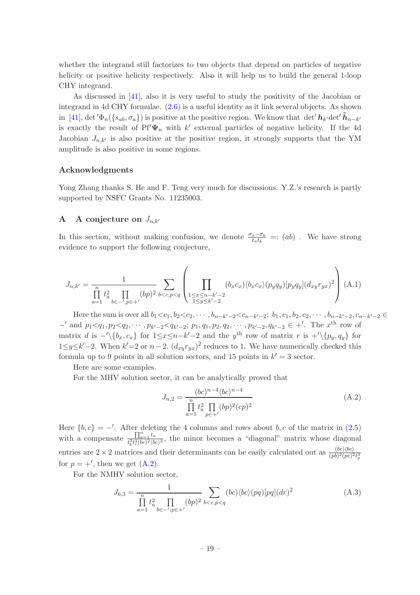whether the integrand still factorizes to two objects that depend on particles of negative helicity or positive helicity respectively. Also it will help us to build the general 1-loop CHY integrand.

As discussed in [\[41](#page-27-13)], also it is very useful to study the positivity of the Jacobian or integrand in 4d CHY formulae. [\(2.6\)](#page-4-0) is a useful identity as it link several objects. As shown in [\[41](#page-27-13)], det' $\Phi_n({s_{ab}, \sigma_a})$  is positive at the positive region. We know that det' $h_{k'}$ det' $\tilde{h}_{n-k'}$ is exactly the result of  $Pf'\Psi_n$  with k' external particles of negative helicity. If the 4d Jacobian  $J_{n,k'}$  is also positive at the positive region, it strongly supports that the YM amplitude is also positive in some regions.

#### Acknowledgments

Yong Zhang thanks S. He and F. Teng very much for discussions. Y.Z.'s research is partly supported by NSFC Grants No. 11235003.

#### <span id="page-19-0"></span>A A conjecture on  $J_{n,k'}$

In this section, without making confusion, we denote  $\frac{\sigma_a - \sigma_b}{t_a t_b} =: (ab)$ . We have strong evidence to support the following conjecture,

$$
J_{n,k'} = \frac{1}{\prod_{a=1}^{n} t_a^2 \prod_{b \in -', p \in +'} (bp)^2} \sum_{b < c, p < q} \left( \prod_{\substack{1 \le x \le n-k'-2 \\ 1 \le y \le k'-2}} (b_x c_x) \langle b_x c_x \rangle (p_y q_y) [p_y q_y] (d_{xy} r_{yx})^2 \right) (A.1)
$$

Here the sum is over all  $b_1 < c_1, b_2 < c_2, \cdots, b_{n-k'-2} < c_{n-k'-2}; b_1, c_1, b_2, c_2, \cdots, b_{n-k'-2}, c_{n-k'-2} \in$  $-'$  and  $p_1 < q_1, p_2 < q_2, \cdots, p_{k'-2} < q_{k'-2}; p_1, q_1, p_2, q_2, \cdots, p_{k'-2}, q_{k'-2} \in +'$ . The  $x^{\text{th}}$  row of matrix d is  $-\langle \{b_x, c_x\} \rangle$  for  $1 \leq x \leq n-k'-2$  and the  $y^{\text{th}}$  row of matrix r is  $+\langle \{p_y, q_y\} \rangle$  for  $1 \leq y \leq k' - 2$ . When  $k' = 2$  or  $n - 2$ ,  $(d_{xy}r_{yx})^2$  reduces to 1. We have numerically checked this formula up to 9 points in all solution sectors, and 15 points in  $k' = 3$  sector.

Here are some examples.

For the MHV solution sector, it can be analytically proved that

<span id="page-19-1"></span>
$$
J_{n,2} = \frac{(bc)^{n-4} \langle bc \rangle^{n-4}}{\prod_{a=1}^{n} t_a^2 \prod_{p \in +'} (bp)^2 (cp)^2}
$$
 (A.2)

Here  ${b, c} = -'$ . After deleting the 4 columns and rows about b, c of the matrix in [\(2.5\)](#page-4-2) with a compensate  $\frac{\prod_{a=1}^{n} t_a}{t^{3} + 3(hc)^2/h}$  $t_{b}^{11}$ <sub>de=1</sub>  $t_{a}^{a}$ , the minor becomes a "diagonal" matrix whose diagonal  $t_{b}^{3}$  $t_{c}^{3}(bc)^{2}(bc)^{2}$ entries are  $2 \times 2$  matrices and their determinants can be easily calculated out as  $\frac{(bc)(bc)}{(pb)^2(pc)^2 t_p^3}$ for  $p = +'$ , then we get  $(A.2)$ .

For the NMHV solution sector,

$$
J_{6,3} = \frac{1}{\prod_{a=1}^{n} t_a^2 \prod_{b \in -', p \in +'} (bp)^2} \sum_{b < c, p < q} (bc) \langle bc \rangle (pq) [pq] (dr)^2 \tag{A.3}
$$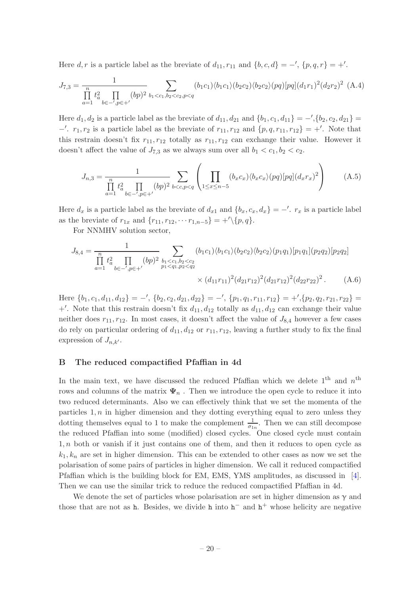Here  $d, r$  is a particle label as the breviate of  $d_{11}, r_{11}$  and  $\{b, c, d\} = -1$ ,  $\{p, q, r\} = +1$ .

$$
J_{7,3} = \frac{1}{\prod_{a=1}^{n} t_a^2 \prod_{b \in -', p \in +'} (bp)^2} \sum_{b_1 < c_1, b_2 < c_2, p < q} (b_1 c_1) \langle b_1 c_1 \rangle (b_2 c_2) \langle b_2 c_2 \rangle (pq) [pq] (d_1 r_1)^2 (d_2 r_2)^2 \quad \text{(A.4)}
$$

Here  $d_1, d_2$  is a particle label as the breviate of  $d_{11}, d_{21}$  and  $\{b_1, c_1, d_{11}\} = -1$ ,  $\{b_2, c_2, d_{21}\} =$ −'.  $r_1, r_2$  is a particle label as the breviate of  $r_{11}, r_{12}$  and  $\{p, q, r_{11}, r_{12}\} = +'$ . Note that this restrain doesn't fix  $r_{11}, r_{12}$  totally as  $r_{11}, r_{12}$  can exchange their value. However it doesn't affect the value of  $J_{7,3}$  as we always sum over all  $b_1 < c_1, b_2 < c_2$ .

$$
J_{n,3} = \frac{1}{\prod_{a=1}^{n} t_a^2 \prod_{b \in -', p \in +'} (bp)^2} \sum_{b < c, p < q} \left( \prod_{1 \leq x \leq n-5} (b_x c_x) \langle b_x c_x \rangle (pq) [pq] (d_x r_x)^2 \right) \tag{A.5}
$$

Here  $d_x$  is a particle label as the breviate of  $d_{x1}$  and  $\{b_x, c_x, d_x\} = -\prime$ .  $r_x$  is a particle label as the breviate of  $r_{1x}$  and  $\{r_{11}, r_{12}, \cdots r_{1,n-5}\} = +'\{p, q\}.$ 

For NNMHV solution sector,

$$
J_{8,4} = \frac{1}{\prod_{a=1}^{n} t_a^2 \prod_{b \in -', p \in +'} (bp)^2} \sum_{\substack{b_1 < c_1, b_2 < c_2 \\ p_1 < q_1, p_2 < q_2}} (b_1 c_1) \langle b_1 c_1 \rangle (b_2 c_2) \langle b_2 c_2 \rangle (p_1 q_1) [p_1 q_1] (p_2 q_2) [p_2 q_2] \times (d_{11} r_{11})^2 (d_{21} r_{12})^2 (d_{21} r_{12})^2 (d_{22} r_{22})^2. \tag{A.6}
$$

Here  $\{b_1, c_1, d_{11}, d_{12}\} = -\langle \{b_2, c_2, d_{21}, d_{22}\} = -\langle \{p_1, q_1, r_{11}, r_{12}\} = +\langle \{p_2, q_2, r_{21}, r_{22}\} =$ +'. Note that this restrain doesn't fix  $d_{11}, d_{12}$  totally as  $d_{11}, d_{12}$  can exchange their value neither does  $r_{11}, r_{12}$ . In most cases, it doesn't affect the value of  $J_{8,4}$  however a few cases do rely on particular ordering of  $d_{11}$ ,  $d_{12}$  or  $r_{11}$ ,  $r_{12}$ , leaving a further study to fix the final expression of  $J_{n,k'}$ .

#### <span id="page-20-0"></span>B The reduced compactified Pfaffian in 4d

In the main text, we have discussed the reduced Pfaffian which we delete  $1<sup>th</sup>$  and  $n<sup>th</sup>$ rows and columns of the matrix  $\Psi_n$ . Then we introduce the open cycle to reduce it into two reduced determinants. Also we can effectively think that we set the momenta of the particles  $1, n$  in higher dimension and they dotting everything equal to zero unless they dotting themselves equal to 1 to make the complement  $\frac{1}{\sigma_{1n}}$ . Then we can still decompose the reduced Pfaffian into some (modified) closed cycles. One closed cycle must contain  $1, n$  both or vanish if it just contains one of them, and then it reduces to open cycle as  $k_1, k_n$  are set in higher dimension. This can be extended to other cases as now we set the polarisation of some pairs of particles in higher dimension. We call it reduced compactified Pfaffian which is the building block for EM, EMS, YMS amplitudes, as discussed in [\[4\]](#page-26-0). Then we can use the similar trick to reduce the reduced compactified Pfaffian in 4d.

We denote the set of particles whose polarisation are set in higher dimension as  $\gamma$  and those that are not as h. Besides, we divide h into  $h^-$  and  $h^+$  whose helicity are negative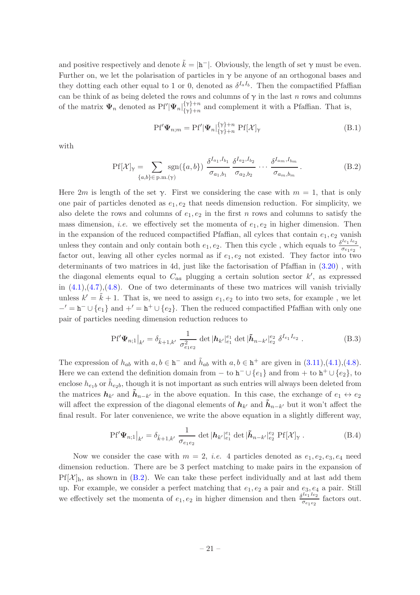and positive respectively and denote  $\tilde{k} = |\mathbf{h}^-|$ . Obviously, the length of set  $\gamma$  must be even. Further on, we let the polarisation of particles in  $\gamma$  be anyone of an orthogonal bases and they dotting each other equal to 1 or 0, denoted as  $\delta^{I_a I_b}$ . Then the compactified Pfaffian can be think of as being deleted the rows and columns of  $\gamma$  in the last n rows and columns of the matrix  $\Psi_n$  denoted as  $Pf'|\Psi_n|_{\{y\}\n+n}^{\{y\}+n}$  $\{y\}_{n=1}^{n}$  and complement it with a Pfaffian. That is,

<span id="page-21-1"></span>
$$
Pf'\Psi_{n,m} = Pf'|\Psi_n|_{\{\gamma\}+n}^{\{\gamma\}+n} Pf[\mathcal{X}]_{\gamma}
$$
\n(B.1)

with

<span id="page-21-0"></span>
$$
Pf[\mathcal{X}]_{\gamma} = \sum_{\{a,b\} \in \text{p.m.}(\gamma)} \text{sgn}(\{a,b\}) \frac{\delta^{I_{a_1},I_{b_1}}}{\sigma_{a_1,b_1}} \frac{\delta^{I_{a_2},I_{b_2}}}{\sigma_{a_2,b_2}} \cdots \frac{\delta^{I_{a_m},I_{b_m}}}{\sigma_{a_m,b_m}}.
$$
(B.2)

Here 2m is length of the set  $\gamma$ . First we considering the case with  $m = 1$ , that is only one pair of particles denoted as  $e_1, e_2$  that needs dimension reduction. For simplicity, we also delete the rows and columns of  $e_1, e_2$  in the first n rows and columns to satisfy the mass dimension, *i.e.* we effectively set the momenta of  $e_1, e_2$  in higher dimension. Then in the expansion of the reduced compactified Pfaffian, all cylces that contain  $e_1, e_2$  vanish unless they contain and only contain both  $e_1, e_2$ . Then this cycle, which equals to  $\frac{\delta^{I_{e_1}I_{e_2}}}{\delta^{I_{e_1}I_{e_2}}}$  $\frac{c_1}{\sigma_{e_1e_2}},$ factor out, leaving all other cycles normal as if  $e_1, e_2$  not existed. They factor into two determinants of two matrices in 4d, just like the factorisation of Pfaffian in [\(3.20\)](#page-8-2) , with the diagonal elements equal to  $C_{aa}$  plugging a certain solution sector  $k'$ , as expressed in  $(4.1), (4.7), (4.8)$  $(4.1), (4.7), (4.8)$  $(4.1), (4.7), (4.8)$  $(4.1), (4.7), (4.8)$ . One of two determinants of these two matrices will vanish trivially unless  $k' = \tilde{k} + 1$ . That is, we need to assign  $e_1, e_2$  to into two sets, for example, we let  $-′ = h^- \cup {e_1}$  and  $+′ = h^+ \cup {e_2}$ . Then the reduced compactified Pfaffian with only one pair of particles needing dimension reduction reduces to

$$
\left. \text{Pf}'\mathbf{\Psi}_{n;1} \right|_{k'} = \delta_{\tilde{k}+1,k'} \frac{1}{\sigma_{e_1 e_2}^2} \det \left| \mathbf{h}_{k'} \right|_{e_1}^{e_1} \det \left| \tilde{\mathbf{h}}_{n-k'} \right|_{e_2}^{e_2} \delta^{I_{e_1} I_{e_2}} \,.
$$

The expression of  $h_{ab}$  with  $a, b \in \mathbf{h}^-$  and  $\tilde{h}_{ab}$  with  $a, b \in \mathbf{h}^+$  are given in  $(3.11), (4.1), (4.8)$  $(3.11), (4.1), (4.8)$  $(3.11), (4.1), (4.8)$  $(3.11), (4.1), (4.8)$ . Here we can extend the definition domain from  $-$  to  $h^- \cup \{e_1\}$  and from  $+$  to  $h^+ \cup \{e_2\}$ , to enclose  $h_{e_1b}$  or  $h_{e_2b}$ , though it is not important as such entries will always been deleted from the matrices  $h_{k'}$  and  $\tilde{h}_{n-k'}$  in the above equation. In this case, the exchange of  $e_1 \leftrightarrow e_2$ will affect the expression of the diagonal elements of  $h_{k'}$  and  $\tilde{h}_{n-k'}$  but it won't affect the final result. For later convenience, we write the above equation in a slightly different way,

<span id="page-21-2"></span>
$$
\left. \text{Pf}'\mathbf{\Psi}_{n;1} \right|_{k'} = \delta_{\tilde{k}+1,k'} \, \frac{1}{\sigma_{e_1e_2}} \, \det \left| \mathbf{h}_{k'} \right|_{e_1}^{e_1} \det \left| \tilde{\mathbf{h}}_{n-k'} \right|_{e_2}^{e_2} \, \text{Pf}[\mathcal{X}]_{\gamma} \, . \tag{B.4}
$$

Now we consider the case with  $m = 2$ , *i.e.* 4 particles denoted as  $e_1, e_2, e_3, e_4$  need dimension reduction. There are be 3 perfect matching to make pairs in the expansion of  $Pf[\mathcal{X}]_h$ , as shown in [\(B.2\)](#page-21-0). We can take these perfect individually and at last add them up. For example, we consider a perfect matching that  $e_1, e_2$  a pair and  $e_3, e_4$  a pair. Still we effectively set the momenta of  $e_1, e_2$  in higher dimension and then  $\frac{\delta^{I_{e_1}I_{e_2}}}{\delta^{I_{e_1}e_2}}$  $\frac{\sigma_{e_1e_2}}{\sigma_{e_1e_2}}$  factors out.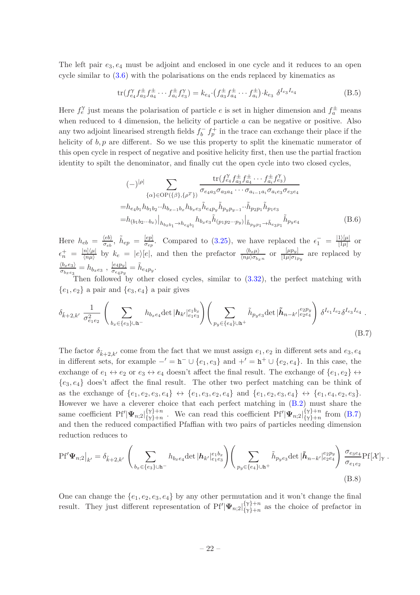The left pair  $e_3, e_4$  must be adjoint and enclosed in one cycle and it reduces to an open cycle similar to [\(3.6\)](#page-6-2) with the polarisations on the ends replaced by kinematics as

<span id="page-22-2"></span>
$$
\text{tr}(f_{e_4}^{\gamma} f_{a_3}^{\pm} f_{a_4}^{\pm} \cdots f_{a_i}^{\pm} f_{e_3}^{\gamma}) = k_{e_4} \cdot (f_{a_3}^{\pm} f_{a_4}^{\pm} \cdots f_{a_i}^{\pm}) \cdot k_{e_3} \ \delta^{I_{e_3} I_{e_4}} \tag{B.5}
$$

Here  $f_e^{\gamma}$  just means the polarisation of particle e is set in higher dimension and  $f_a^{\pm}$  means when reduced to 4 dimension, the helicity of particle a can be negative or positive. Also any two adjoint linearised strength fields  $f_h^ \bar{b}$   $f_p^+$  in the trace can exchange their place if the helicity of  $b, p$  are different. So we use this property to split the kinematic numerator of this open cycle in respect of negative and positive helicity first, then use the partial fraction identity to spilt the denominator, and finally cut the open cycle into two closed cycles,

<span id="page-22-1"></span>
$$
(-)^{|\rho|} \sum_{\{\alpha\} \in \text{OP}(\{\beta\}, \{\rho^T\})} \frac{\text{tr}(f_{e_4}^{\gamma} f_{a_3}^{\pm} f_{a_4}^{\pm} \cdots f_{a_i}^{\pm} f_{e_3}^{\gamma})}{\sigma_{e_4 a_3} \sigma_{a_3 a_4} \cdots \sigma_{a_{i-1} a_i} \sigma_{a_i e_3} \sigma_{e_3 e_4}}
$$

$$
= h_{e_4 b_1} h_{b_1 b_2} \cdots h_{b_{x-1} b_x} h_{b_x e_3} \tilde{h}_{e_4 p_y} \tilde{h}_{p_y p_{y-1}} \cdots \tilde{h}_{p_2 p_1} \tilde{h}_{p_1 e_3}
$$

$$
= h_{(b_1 b_2 \cdots b_x)} \Big|_{h_{b_x b_1} \to h_{e_4 b_1}} h_{b_x e_3} \tilde{h}_{(p_1 p_2 \cdots p_y)} \Big|_{\tilde{h}_{p_y p_1} \to \tilde{h}_{e_3 p_1}} \tilde{h}_{p_y e_4}
$$
(B.6)

Here  $h_{eb} = \frac{\langle eb \rangle}{\sigma_{eb}}$  $\frac{\langle eb\rangle}{\sigma_{eb}},\; \tilde{h}_{ep}\;=\;\frac{[ep]}{\sigma_{ep}}$  $\frac{[ep]}{\sigma_{ep}}$ . Compared to [\(3.25\)](#page-9-2), we have replaced the  $\epsilon_1^- = \frac{|1\rangle[\mu]}{|1\mu|}$  $\frac{1/|\mu|}{[1\mu]}$  or  $\epsilon_n^+ \; = \; \frac{|n]\langle \mu |}{\langle n \mu \rangle}$  $\frac{n|\langle\mu|}{\langle n\mu\rangle}$  by  $k_e = |e\rangle[e]$ , and then the prefactor  $\frac{\langle b_x\mu\rangle}{\langle n\mu\rangle\sigma_{bx}n}$  or  $\frac{[\mu p_y]}{[1\mu]\sigma_{1x}}$  $\frac{\mu p_{y}}{[1\mu]\sigma_{1p_y}}$  are replaced by  $\langle b_x e_3 \rangle$  $\frac{\langle b_x e_3 \rangle}{\sigma_{b_x e_3}} = h_{b_x e_3}$  ,  $\frac{[e_4 p_y]}{\sigma_{e_4 p_y}}$  $\frac{[e_4p_y]}{\sigma_{e_4p_y}} = \tilde{h}_{e_4p_y}.$ 

Then followed by other closed cycles, similar to  $(3.32)$ , the perfect matching with  ${e_1, e_2}$  a pair and  ${e_3, e_4}$  a pair gives

<span id="page-22-0"></span>
$$
\delta_{\tilde{k}+2,k'} \frac{1}{\sigma_{e_1e_2}^2} \left( \sum_{b_x \in \{e_3\} \cup \mathbf{h}^-} h_{b_xe_4} \det |h_{k'}|_{e_1e_3}^{e_1b_x} \right) \left( \sum_{p_y \in \{e_4\} \cup \mathbf{h}^+} \tilde{h}_{p_ye_3} \det |h_{n-k'}|_{e_2e_4}^{e_2p_y} \right) \delta^{I_{e_1}I_{e_2}} \delta^{I_{e_3}I_{e_4}}.
$$
\n(B.7)

The factor  $\delta_{\tilde{k}+2,k'}$  come from the fact that we must assign  $e_1, e_2$  in different sets and  $e_3, e_4$ in different sets, for example  $-′ = h^- \cup \{e_1, e_3\}$  and  $+′ = h^+ \cup \{e_2, e_4\}$ . In this case, the exchange of  $e_1 \leftrightarrow e_2$  or  $e_3 \leftrightarrow e_4$  doesn't affect the final result. The exchange of  $\{e_1, e_2\} \leftrightarrow$  ${e_3, e_4}$  does't affect the final result. The other two perfect matching can be think of as the exchange of  $\{e_1, e_2, e_3, e_4\} \leftrightarrow \{e_1, e_3, e_2, e_4\}$  and  $\{e_1, e_2, e_3, e_4\} \leftrightarrow \{e_1, e_4, e_2, e_3\}.$ However we have a cleverer choice that each perfect matching in [\(B.2\)](#page-21-0) must share the same coefficient  $Pf'|\Psi_{n;2}|^{\{\gamma\}+n}_{\{\gamma\}+n}$  $\{v\}$ +n. We can read this coefficient Pf' $|\Psi_{n;2}|\{\gamma\}$ +n.  $\begin{bmatrix} \gamma & \gamma + n \\ \gamma & \gamma + n \end{bmatrix}$  from  $(B.7)$ and then the reduced compactified Pfaffian with two pairs of particles needing dimension reduction reduces to

$$
Pf'\Psi_{n;2}\big|_{k'} = \delta_{\tilde{k}+2,k'}\left(\sum_{b_x \in \{e_3\}\cup h^-} h_{b_x e_4} \det|h_{k'}|_{e_1 e_3}^{e_1 b_x}\right)\left(\sum_{p_y \in \{e_4\}\cup h^+} \tilde{h}_{p_y e_3} \det|\tilde{h}_{n-k'}|_{e_2 e_4}^{e_2 p_y}\right) \frac{\sigma_{e_3 e_4}}{\sigma_{e_1 e_2}} Pf[\mathcal{X}]_{\gamma}.
$$
\n(B.8)

<span id="page-22-3"></span>One can change the  $\{e_1, e_2, e_3, e_4\}$  by any other permutation and it won't change the final result. They just different representation of  $Pf'|\Psi_{n;2}|^{\{\gamma\}+n}_{\{\gamma\}+n}$  $\{y\}_{n=1}^{y}$  as the choice of prefactor in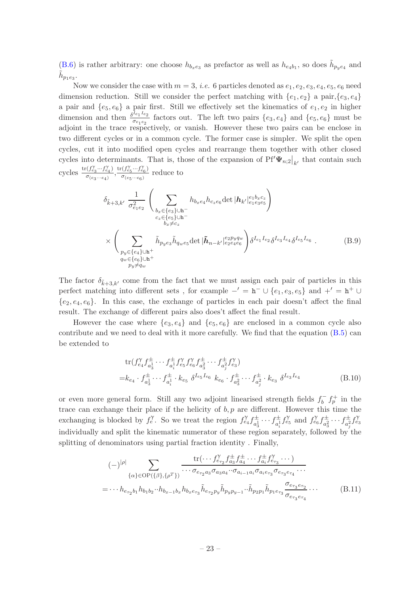[\(B.6\)](#page-22-1) is rather arbitrary: one choose  $h_{b_x e_3}$  as prefactor as well as  $h_{e_4 b_1}$ , so does  $\tilde{h}_{p_y e_4}$  and  $\tilde{h}_{p_1e_3}$ .

Now we consider the case with  $m = 3$ , *i.e.* 6 particles denoted as  $e_1, e_2, e_3, e_4, e_5, e_6$  need dimension reduction. Still we consider the perfect matching with  $\{e_1, e_2\}$  a pair,  $\{e_3, e_4\}$ a pair and  $\{e_5, e_6\}$  a pair first. Still we effectively set the kinematics of  $e_1, e_2$  in higher dimension and then  $\frac{\delta^{I_{e_1}I_{e_2}}}{\delta^{I_{e_1}}\delta^{I_{e_2}}}\$  $\frac{c_{1}c_{2}}{\sigma_{e_{1}e_{2}}}$  factors out. The left two pairs  $\{e_{3},e_{4}\}\$  and  $\{e_{5},e_{6}\}\$  must be adjoint in the trace respectively, or vanish. However these two pairs can be enclose in two different cycles or in a common cycle. The former case is simpler. We split the open cycles, cut it into modified open cycles and rearrange them together with other closed cycles into determinants. That is, those of the expansion of  $Pf'\Psi_{n;2}|_{k'}$  that contain such cycles  $\frac{\text{tr}(f_{e_3}^{\gamma} \cdots f_{e_4}^{\gamma})}{\sigma}$  $\frac{\sigma(f^\gamma_{e_3}\cdots f^\gamma_{e_4})}{\sigma_{(e_3\cdots e_4)}}, \frac{\text{tr}(f^\gamma_{e_5}\cdots f^\gamma_{e_6})}{\sigma_{(e_5\cdots e_6)}}$  $\frac{(Je_5\cdots Je_6)}{\sigma_{(e_5\cdots e_6)}}$  reduce to

<span id="page-23-0"></span>
$$
\delta_{\tilde{k}+3,k'} \frac{1}{\sigma_{e_1e_2}^2} \left( \sum_{\substack{b_x \in \{e_3\}\cup\mathbf{h}^-\\c_z \in \{e_5\}\cup\mathbf{h}^-\\b_x \neq c_z}} h_{b_xe_4} h_{c_2e_6} \det |\mathbf{h}_{k'}|_{e_1e_3e_5}^{e_1b_xc_z} \right) \times \left( \sum_{\substack{p_y \in \{e_4\}\cup\mathbf{h}^+\\p_y \in \{e_4\}\cup\mathbf{h}^+\\p_y \neq q_w}} \tilde{h}_{p_ye_3} \tilde{h}_{q_we_5} \det |\tilde{\mathbf{h}}_{n-k'}|_{e_2e_4e_6}^{e_2p_yq_w} \right) \delta^{I_{e_1}I_{e_2}} \delta^{I_{e_3}I_{e_4}} \delta^{I_{e_5}I_{e_6}}.
$$
\n(B.9)

The factor  $\delta_{\tilde{k}+3,k'}$  come from the fact that we must assign each pair of particles in this perfect matching into different sets, for example  $-' = h^- \cup \{e_1, e_3, e_5\}$  and  $+' = h^+ \cup$  ${e_2, e_4, e_6}$ . In this case, the exchange of particles in each pair doesn't affect the final result. The exchange of different pairs also does't affect the final result.

However the case where  $\{e_3, e_4\}$  and  $\{e_5, e_6\}$  are enclosed in a common cycle also contribute and we need to deal with it more carefully. We find that the equation [\(B.5\)](#page-22-2) can be extended to

$$
\text{tr}(f_{e_4}^{\gamma} f_{a_3}^{\pm} \cdots f_{a_i}^{\pm} f_{e_5}^{\gamma} f_{e_6}^{\gamma} f_{a_3}^{\pm} \cdots f_{a_j}^{\pm} f_{e_3}^{\gamma})
$$
\n
$$
= k_{e_4} \cdot f_{a_3}^{\pm} \cdots f_{a_i}^{\pm} \cdot k_{e_5} \, \delta^{I_{e_5} I_{e_6}} \, k_{e_6} \cdot f_{a_3}^{\pm} \cdots f_{a_j}^{\pm} \cdot k_{e_3} \, \delta^{I_{e_3} I_{e_4}} \tag{B.10}
$$

or even more general form. Still any two adjoint linearised strength fields  $f_h^ \int_b^- f_p^+$  in the trace can exchange their place if the helicity of  $b, p$  are different. However this time the exchanging is blocked by  $f_e^{\gamma}$ . So we treat the region  $f_{e_4}^{\gamma} f_{e_4}^{\pm}$  $a_3^{\pm} \cdots f_{a_i^1}^{\pm}$  $a_i^{\pm} f_{e_5}^{\gamma}$  and  $f_{e_6}^{\gamma} f_{a_3^2}^{\pm}$  $\frac{d^{\pm}}{a_3^2} \cdots f^{\pm}_{a_j^2}$  $\frac{1}{a_j^2} f_{e_3}^{\gamma}$ individually and split the kinematic numerator of these region separately, followed by the splitting of denominators using partial fraction identity . Finally,

$$
(-)^{|\rho|} \sum_{\{\alpha\} \in \text{OP}(\{\beta\}, \{\rho^T\})} \frac{\text{tr}(\cdots f_{e_{\tau_2}}^{\gamma} f_{a_3}^{\pm} f_{a_4}^{\pm} \cdots f_{a_i}^{\pm} f_{e_{\tau_3}}^{\gamma} \cdots)}{\cdots \sigma_{e_{\tau_2} a_3} \sigma_{a_3 a_4} \cdots \sigma_{a_{i-1} a_i} \sigma_{a_i e_{\tau_3}} \sigma_{e_{\tau_3} e_{\tau_4}} \cdots}
$$
  
=  $\cdots h_{e_{\tau_2} b_1} h_{b_1 b_2} \cdots h_{b_{x-1} b_x} h_{b_x e_{\tau_3}} \tilde{h}_{e_{\tau_2} p_y} \tilde{h}_{p_y p_{y-1}} \cdots \tilde{h}_{p_2 p_1} \tilde{h}_{p_1 e_{\tau_3}} \frac{\sigma_{e_{\tau_3} e_{\tau_2}}}{\sigma_{e_{\tau_3} e_{\tau_4}}} \cdots$  (B.11)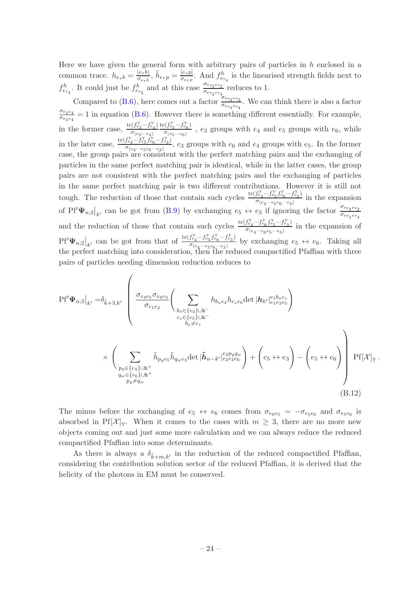Here we have given the general form with arbitrary pairs of particles in  $h$  enclosed in a common trace.  $h_{e_{\tau}b} = \frac{\langle e_{\tau}b \rangle}{\sigma_{e_{\tau}b}}$  $\frac{\langle e_\tau b\rangle}{\sigma_{e_\tau b}},\, \tilde{h}_{e_\tau p}=\frac{[e_\tau p]}{\sigma_{e_\tau p}}$  $\frac{|e_{\tau}p|}{\sigma_{e_{\tau}p}}$ . And  $f_{e_{\tau_4}}^h$  is the linearised strength fields next to  $f_{e_{\tau_3}}^h$ . It could just be  $f_{e_{\tau_2}}^h$  and at this case  $\frac{\sigma_{e_{\tau_3}e_{\tau_2}}}{\sigma_{e_{\tau_3}e_{\tau_4}}}$  $rac{\sigma_{e_{\tau_3}e_{\tau_2}}}{\sigma_{e_{\tau_3}e_{\tau_4}}}$  reduces to 1.

Compared to [\(B.6\)](#page-22-1), here comes out a factor  $\frac{\sigma_{e_{73}e_{72}}}{\sigma_{e_{73}e_{72}}}$  $\frac{\sigma_{e_{\tau_3}e_{\tau_2}}}{\sigma_{e_{\tau_3}e_{\tau_4}}}$ . We can think there is also a factor  $\sigma_{e_3e_4}$  $\frac{\sigma_{e_3e_4}}{\sigma_{e_3e_4}} = 1$  in equation [\(B.6\)](#page-22-1). However there is something different essentially. For example, in the former case,  $\frac{\text{tr}(f_{e_3}^{\gamma} \cdots f_{e_4}^{\gamma})}{\sigma}$  $\sigma_{(e_3\cdots e_4)}$  $\text{tr}(f_{e_5}^{\gamma} \cdots f_{e_6}^{\gamma})$  $\frac{(Je_5^{(1)}ce_6)}{\sigma(e_5\cdots e_6)}$ ,  $e_3$  groups with  $e_4$  and  $e_5$  groups with  $e_6$ , while in the later case,  $\frac{\text{tr}(f_{e_4}^{\gamma} \cdots \hat{f}_{e_5}^{\gamma} \hat{f}_{e_6}^{\gamma} \cdots \hat{f}_{e_3}^{\gamma})}{\sigma}$  $\frac{\sigma_{e_4}\cdots\sigma_{e_5}\cdots\sigma_{e_3}}{\sigma_{(e_4\cdots e_5e_6\cdots e_3)}},\ e_3$  groups with  $e_6$  and  $e_4$  groups with  $e_5$ . In the former case, the group pairs are consistent with the perfect matching pairs and the exchanging of particles in the same perfect matching pair is identical, while in the latter cases, the group pairs are not consistent with the perfect matching pairs and the exchanging of particles in the same perfect matching pair is two different contributions. However it is still not tough. The reduction of those that contain such cycles  $\frac{\text{tr}(f_{e_4}^{\gamma} \cdots f_{e_5}^{\gamma} f_{e_6}^{\gamma} \cdots f_{e_3}^{\gamma})}{\sigma}$  $\frac{\sigma_{e_4}\cdots\sigma_{e_5}\sigma_{e_6}\cdots\sigma_{e_3}}{\sigma_{(e_4\cdots e_5e_6\cdots e_3)}}$  in the expansion of Pf' $\Psi_{n;2}|_{k'}$  can be got from [\(B.9\)](#page-23-0) by exchanging  $e_5 \leftrightarrow e_3$  if ignoring the factor  $\frac{\sigma_{e_7s}e_{72}}{\sigma_{e_{73}}e_{74}}$  $\sigma_{e\tau_3\,e\tau_4}$ and the reduction of those that contain such cycles  $\frac{\text{tr}(f_{e_4}^{\gamma} \cdots f_{e_6}^{\gamma} f_{e_5}^{\gamma} \cdots f_{e_3}^{\gamma})}{\sigma}$  $\frac{\sigma_{e_4}\cdots\sigma_{e_6}\sigma_{e_5}\cdots\sigma_{e_3}}{\sigma_{(e_4\cdots e_6e_5\cdots e_3)}}$  in the expansion of  $\mathrm{Pf}'\mathbf{\Psi}_{n;2}\big|_{k'}$  can be got from that of  $\frac{\mathrm{tr}(f_{e_4}^{\gamma}\cdots f_{e_5}^{\gamma}f_{e_6}^{\gamma}\cdots f_{e_3}^{\gamma})}{\sigma_{(e_4\cdots e_5e_6\cdots e_3)}}$  $\sigma_{(e_4 \cdots e_5 e_6 \cdots e_3)}$  by exchanging  $e_5 \leftrightarrow e_6$ . Taking all the perfect matching into consideration, then the reduced compactified Pfaffian with three pairs of particles needing dimension reduction reduces to

$$
Pf'\Psi_{n;3}|_{k'} = \delta_{\tilde{k}+3,k'} \left( \frac{\sigma_{e_4e_5}\sigma_{e_6e_3}}{\sigma_{e_1e_2}} \left( \sum_{\substack{b_x \in \{e_3\}\cup h^- \\ c_z \in \{e_5\}\cup h^- \\ b_x \neq c_z}} h_{b_xe_4} h_{c_ze_6} \det |h_{k'}|_{e_1e_3e_5}^{e_1b_xc_z} \right) \times \left( \sum_{\substack{p_y \in \{e_4\}\cup h^+ \\ p_y \in \{e_4\}\cup h^+ \\ q_w \in \{e_6\}\cup h^+}} \tilde{h}_{p_ye_5} \tilde{h}_{q_we_3} \det |\tilde{h}_{n-k'}|_{e_2e_4e_6}^{e_2p_yq_w} \right) + \left(e_5 \leftrightarrow e_3\right) - \left(e_5 \leftrightarrow e_6\right) \right) Pf[\mathcal{X}]_{\gamma} .
$$
\n(B.12)

<span id="page-24-0"></span>The minus before the exchanging of  $e_5 \leftrightarrow e_6$  comes from  $\sigma_{e_6e_5} = -\sigma_{e_5e_6}$  and  $\sigma_{e_5e_6}$  is absorbed in Pf[ $\mathcal{X}|_{\mathcal{Y}}$ . When it comes to the cases with  $m \geq 3$ , there are no more new objects coming out and just some more calculation and we can always reduce the reduced compactified Pfaffian into some determinants.

As there is always a  $\delta_{\tilde{k}+m,k'}$  in the reduction of the reduced compactified Pfaffian, considering the contribution solution sector of the reduced Pfaffian, it is derived that the helicity of the photons in EM must be conserved.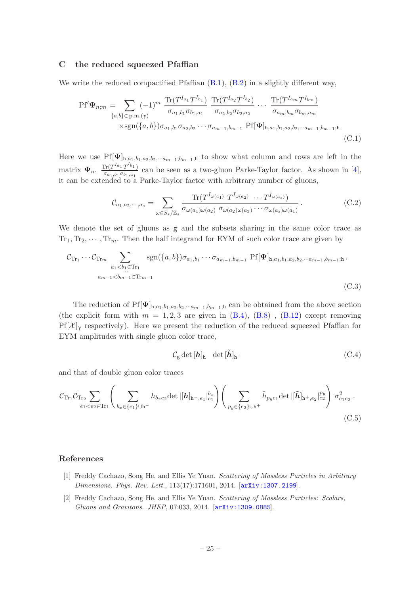#### <span id="page-25-0"></span>C the reduced squeezed Pfaffian

We write the reduced compactified Pfaffian  $(B.1)$ ,  $(B.2)$  in a slightly different way,

$$
Pf'\Psi_{n;m} = \sum_{\{a,b\} \in p.m.(\gamma)} (-1)^m \frac{\text{Tr}(T^{I_{a_1}} T^{I_{b_1}})}{\sigma_{a_1,b_1} \sigma_{b_1,a_1}} \frac{\text{Tr}(T^{I_{a_2}} T^{I_{b_2}})}{\sigma_{a_2,b_2} \sigma_{b_2,a_2}} \cdots \frac{\text{Tr}(T^{I_{a_m}} T^{I_{b_m}})}{\sigma_{a_m,b_m} \sigma_{b_m,a_m}} \times \text{sgn}(\{a,b\}) \sigma_{a_1,b_1} \sigma_{a_2,b_2} \cdots \sigma_{a_{m-1},b_{m-1}} Pf[\Psi]_{\mathbf{h},a_1,b_1,a_2,b_2,\cdots a_{m-1},b_{m-1};\mathbf{h}} \tag{C.1}
$$

Here we use  $Pf[\Psi]_{h,a_1,b_1,a_2,b_2,\cdots a_{m-1},b_{m-1};h}$  to show what column and rows are left in the matrix  $\Psi_n$ .  $\frac{\text{Tr}(T^{I_{a_1}}T^{I_{b_1}})}{\sigma_{a_1} \cdots \sigma_{b_n} \sigma_{b_n}}$  $\frac{\ln(1 - 1 - 1)}{\sigma_{a_1, b_1} \sigma_{b_1, a_1}}$  can be seen as a two-gluon Parke-Taylor factor. As shown in [\[4\]](#page-26-0), it can be extended to a Parke-Taylor factor with arbitrary number of gluons,

$$
\mathcal{C}_{a_1, a_2, \cdots, a_s} = \sum_{\omega \in S_s/\mathbb{Z}_s} \frac{\text{Tr}(T^{I_{\omega(a_1)}} T^{I_{\omega(a_2)}} \cdots T^{I_{\omega(a_s)}})}{\sigma_{\omega(a_1)\omega(a_2)} \sigma_{\omega(a_2)\omega(a_3)} \cdots \sigma_{\omega(a_s)\omega(a_1)}}.
$$
(C.2)

We denote the set of gluons as g and the subsets sharing in the same color trace as  $Tr_1, Tr_2, \cdots, Tr_m$ . Then the half integrand for EYM of such color trace are given by

$$
\mathcal{C}_{\text{Tr}_1} \cdots \mathcal{C}_{\text{Tr}_m} \sum_{\substack{a_1 < b_1 \in \text{Tr}_1 \\ \dots \\ a_{m-1} < b_{m-1} \in \text{Tr}_{m-1}}} \text{sgn}(\{a, b\}) \sigma_{a_1, b_1} \cdots \sigma_{a_{m-1}, b_{m-1}} \text{Pf}[\Psi]_{\mathbf{h}, a_1, b_1, a_2, b_2, \dots a_{m-1}, b_{m-1}; \mathbf{h}}.
$$
\n
$$
(C.3)
$$

The reduction of  $Pf[\Psi]_{h,a_1,b_1,a_2,b_2,\cdots a_{m-1},b_{m-1}$ ;h can be obtained from the above section (the explicit form with  $m = 1, 2, 3$  are given in  $(B.4)$ ,  $(B.8)$ ,  $(B.12)$  except removing  $Pf[\mathcal{X}]$ <sub>γ</sub> respectively). Here we present the reduction of the reduced squeezed Pfaffian for EYM amplitudes with single gluon color trace,

$$
C_{\mathsf{g}} \det \left[\mathbf{h}\right]_{\mathbf{h}^{-}} \det \left[\tilde{\mathbf{h}}\right]_{\mathbf{h}^{+}} \tag{C.4}
$$

and that of double gluon color traces

$$
\mathcal{C}_{\text{Tr}_{1}}\mathcal{C}_{\text{Tr}_{2}}\sum_{e_{1}<\epsilon_{2}\in\text{Tr}_{1}}\left(\sum_{b_{x}\in\{e_{1}\}\cup\text{h}^{-}}h_{b_{x}e_{2}}\det|[\boldsymbol{h}]_{\text{h}^{-},e_{1}}|_{e_{1}}^{b_{x}}\right)\left(\sum_{p_{y}\in\{e_{2}\}\cup\text{h}^{+}}\tilde{h}_{p_{y}e_{1}}\det|[\boldsymbol{\tilde{h}}]_{\text{h}^{+},e_{2}}|_{e_{2}}^{p_{y}}\right)\sigma_{e_{1}e_{2}}^{2}.
$$
\n(C.5)

#### References

- <span id="page-25-1"></span>[1] Freddy Cachazo, Song He, and Ellis Ye Yuan. *Scattering of Massless Particles in Arbitrary Dimensions*. *Phys. Rev. Lett.*, 113(17):171601, 2014. [[arXiv:1307.2199](http://arxiv.org/abs/1307.2199)].
- [2] Freddy Cachazo, Song He, and Ellis Ye Yuan. *Scattering of Massless Particles: Scalars, Gluons and Gravitons*. *JHEP*, 07:033, 2014. [[arXiv:1309.0885](http://arxiv.org/abs/1309.0885)].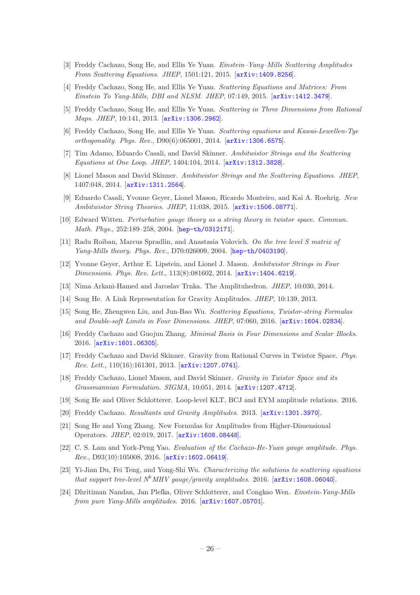- <span id="page-26-19"></span>[3] Freddy Cachazo, Song He, and Ellis Ye Yuan. *Einstein–Yang–Mills Scattering Amplitudes From Scattering Equations*. *JHEP*, 1501:121, 2015. [[arXiv:1409.8256](http://arxiv.org/abs/1409.8256)].
- <span id="page-26-0"></span>[4] Freddy Cachazo, Song He, and Ellis Ye Yuan. *Scattering Equations and Matrices: From Einstein To Yang-Mills, DBI and NLSM*. *JHEP*, 07:149, 2015. [[arXiv:1412.3479](http://arxiv.org/abs/1412.3479)].
- <span id="page-26-1"></span>[5] Freddy Cachazo, Song He, and Ellis Ye Yuan. *Scattering in Three Dimensions from Rational Maps*. *JHEP*, 10:141, 2013. [[arXiv:1306.2962](http://arxiv.org/abs/1306.2962)].
- <span id="page-26-2"></span>[6] Freddy Cachazo, Song He, and Ellis Ye Yuan. *Scattering equations and Kawai-Lewellen-Tye orthogonality*. *Phys. Rev.*, D90(6):065001, 2014. [[arXiv:1306.6575](http://arxiv.org/abs/1306.6575)].
- <span id="page-26-3"></span>[7] Tim Adamo, Eduardo Casali, and David Skinner. *Ambitwistor Strings and the Scattering Equations at One Loop*. *JHEP*, 1404:104, 2014. [[arXiv:1312.3828](http://arxiv.org/abs/1312.3828)].
- [8] Lionel Mason and David Skinner. *Ambitwistor Strings and the Scattering Equations*. *JHEP*, 1407:048, 2014. [[arXiv:1311.2564](http://arxiv.org/abs/1311.2564)].
- <span id="page-26-4"></span>[9] Eduardo Casali, Yvonne Geyer, Lionel Mason, Ricardo Monteiro, and Kai A. Roehrig. *New Ambitwistor String Theories*. *JHEP*, 11:038, 2015. [[arXiv:1506.08771](http://arxiv.org/abs/1506.08771)].
- <span id="page-26-5"></span>[10] Edward Witten. *Perturbative gauge theory as a string theory in twistor space*. *Commun. Math. Phys.*, 252:189–258, 2004. [[hep-th/0312171](http://arxiv.org/abs/hep-th/0312171)].
- <span id="page-26-6"></span>[11] Radu Roiban, Marcus Spradlin, and Anastasia Volovich. *On the tree level S matrix of Yang-Mills theory*. *Phys. Rev.*, D70:026009, 2004. [[hep-th/0403190](http://http://arxiv.org/abs/hep-th/0403190)].
- <span id="page-26-7"></span>[12] Yvonne Geyer, Arthur E. Lipstein, and Lionel J. Mason. *Ambitwistor Strings in Four Dimensions*. *Phys. Rev. Lett.*, 113(8):081602, 2014. [[arXiv:1404.6219](http://arxiv.org/abs/1404.6219)].
- <span id="page-26-8"></span>[13] Nima Arkani-Hamed and Jaroslav Trnka. The Amplituhedron. *JHEP*, 10:030, 2014.
- <span id="page-26-9"></span>[14] Song He. A Link Representation for Gravity Amplitudes. *JHEP*, 10:139, 2013.
- <span id="page-26-10"></span>[15] Song He, Zhengwen Liu, and Jun-Bao Wu. *Scattering Equations, Twistor-string Formulas and Double-soft Limits in Four Dimensions. JHEP*, 07:060, 2016. [[arXiv:1604.02834](http://arxiv.org/abs/1604.02834)].
- <span id="page-26-11"></span>[16] Freddy Cachazo and Guojun Zhang. *Minimal Basis in Four Dimensions and Scalar Blocks*. 2016. [[arXiv:1601.06305](http://arxiv.org/abs/1601.06305)].
- <span id="page-26-12"></span>[17] Freddy Cachazo and David Skinner. Gravity from Rational Curves in Twistor Space. *Phys. Rev. Lett.*, 110(16):161301, 2013. [[arXiv:1207.0741](http://arxiv.org/abs/1207.0741)].
- <span id="page-26-13"></span>[18] Freddy Cachazo, Lionel Mason, and David Skinner. *Gravity in Twistor Space and its Grassmannian Formulation*. *SIGMA*, 10:051, 2014. [[arXiv:1207.4712](http://arxiv.org/abs/1207.4712)].
- <span id="page-26-14"></span>[19] Song He and Oliver Schlotterer. Loop-level KLT, BCJ and EYM amplitude relations. 2016.
- <span id="page-26-15"></span>[20] Freddy Cachazo. *Resultants and Gravity Amplitudes*. 2013. [[arXiv:1301.3970](http://arxiv.org/abs/1301.3970)].
- <span id="page-26-16"></span>[21] Song He and Yong Zhang. New Formulas for Amplitudes from Higher-Dimensional Operators. *JHEP*, 02:019, 2017. [[arXiv:1608.08448](http://arxiv.org/abs/1608.08448)].
- <span id="page-26-17"></span>[22] C. S. Lam and York-Peng Yao. *Evaluation of the Cachazo-He-Yuan gauge amplitude*. *Phys. Rev.*, D93(10):105008, 2016. [[arXiv:1602.06419](http://arxiv.org/abs/1602.06419)].
- <span id="page-26-18"></span>[23] Yi-Jian Du, Fei Teng, and Yong-Shi Wu. *Characterizing the solutions to scattering equations that support tree-level*  $N^k$ *MHV gauge/gravity amplitudes.* 2016.  $[$ [arXiv:1608.06040](http://arxiv.org/abs/1608.06040)].
- <span id="page-26-20"></span>[24] Dhritiman Nandan, Jan Plefka, Oliver Schlotterer, and Congkao Wen. *Einstein-Yang-Mills from pure Yang-Mills amplitudes*. 2016. [[arXiv:1607.05701](http://arxiv.org/abs/1607.05701)].